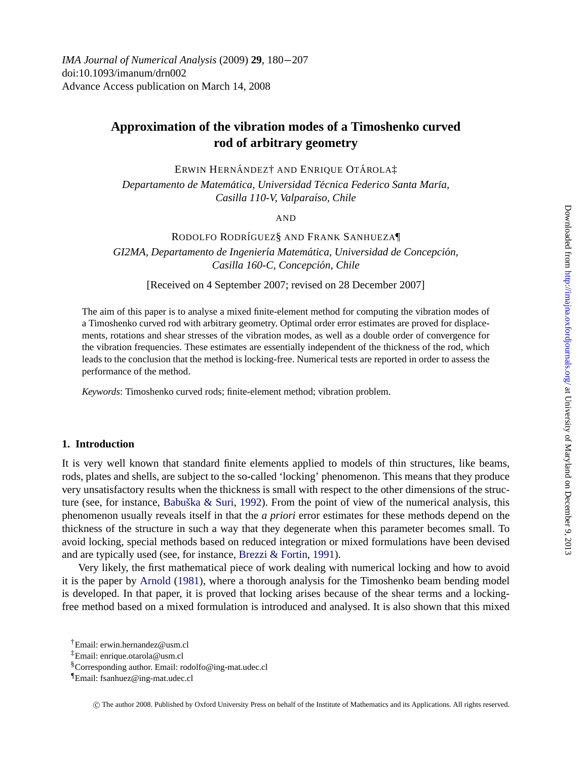Downloaded from http://imajna.oxfordjournals.org/ at University of Maryland on December 9, 2013 [Downloaded from](http://imajna.oxfordjournals.org/) http://imajna.oxfordjournals.org/ at University of Maryland on December 9, 2013

*IMA Journal of Numerical Analysis* (2009) **29**, 180−207 doi:10.1093/imanum/drn002 Advance Access publication on March 14, 2008

# **Approximation of the vibration modes of a Timoshenko curved rod of arbitrary geometry**

ERWIN HERNÁNDEZ† AND ENRIQUE OTÁROLAİ

*Departamento de Matematica, Universidad T ´ ecnica Federico Santa Mar ´ ´ıa, Casilla 110-V, Valpara´ıso, Chile*

AND

RODOLFO RODRÍGUEZ§ AND FRANK SANHUEZA¶

*GI2MA, Departamento de Ingeniería Matemática, Universidad de Concepción, Casilla 160-C, Concepcion, Chile ´*

[Received on 4 September 2007; revised on 28 December 2007]

The aim of this paper is to analyse a mixed finite-element method for computing the vibration modes of a Timoshenko curved rod with arbitrary geometry. Optimal order error estimates are proved for displacements, rotations and shear stresses of the vibration modes, as well as a double order of convergence for the vibration frequencies. These estimates are essentially independent of the thickness of the rod, which leads to the conclusion that the method is locking-free. Numerical tests are reported in order to assess the performance of the method.

*Keywords*: Timoshe[nko](#page-26-0) [curved](#page-26-0) [rods;](#page-26-0) [finite-ele](#page-26-0)ment method; vibration problem.

### **1. Introduction**

It is very well known that standard finite elements applied to models of thin structures, like beams, rods, plates and s[hells, are subje](#page-26-0)ct to the so-called 'locking' phenomenon. This means that they produce very unsatisfactory results when the thickness is small with respect to the other dimensions of the structure (see, for instance, Babuška & Suri, 1992). From the point of view of the numerical analysis, this phenomenon usually reveals itself in that the *a priori* error estimates for these methods depend on the thickness of the structure in such a way that they degenerate when this parameter becomes small. To avoid locking, special methods based on reduced integration or mixed formulations have been devised and are typically used (see, for instance, Brezzi & Fortin, 1991).

Very likely, the first mathematical piece of work dealing with numerical locking and how to avoid it is the paper by Arnold (1981), where a thorough analysis for the Timoshenko beam bending model is developed. In that paper, it is proved that locking arises because of the shear terms and a lockingfree method based on a mixed formulation is introduced and analysed. It is also shown that this mixed

<sup>†</sup>Email: erwin.hernandez@usm.cl

<sup>‡</sup>Email: enrique.otarola@usm.cl

<sup>§</sup>Corresponding author. Email: rodolfo@ing-mat.udec.cl

<sup>¶</sup>Email: fsanhuez@ing-mat.udec.cl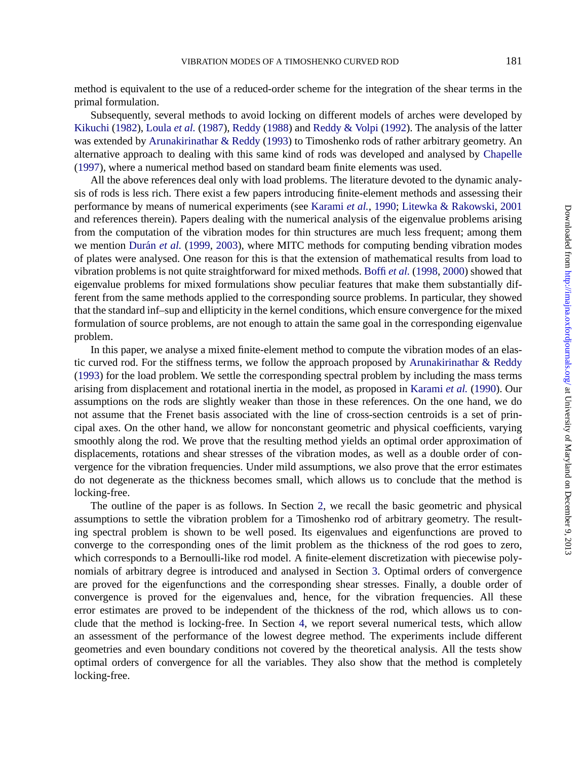method is equivalent to the use of a reduced-order scheme for the integration of the shear terms in the primal formulation.

Subsequently, several methods to avoid locking on different models of arches were developed by Kikuchi (1982), Loula *et al.* (1987), Reddy (1988) and Reddy & Volpi (1992). The analysis of the latter was extended by [Arunaki](#page-26-0)r[inathar & R](#page-26-0)eddy (1993) to Timoshenko rods of rather arbitrary geometry. An alternative approach to dealing with this same kind of rods was developed and analysed by Chapelle (1997), where a numerical method based on standard beam finite e[lements was used](#page-26-0).

All the above references deal only with load problems. The literature devoted to the dynamic analysis of rods is less rich. There exist a few papers introducing finite-element methods and assessing their performance by means of numerical experiments (see Karami *et al.*, 1990; Litewka & Rakowski, 2001 and references therein). Papers dealing with the numerical analysis of the eigenvalue problems arising from the computation of the vibration modes for thin structures are much less frequent; among them we mention Durán *et al.* (1999, 2003), where MITC methods for computing bending vibration modes of plates were analysed. One reason for this is that the extension of mathem[atical results from load to](#page-26-0) [vibrat](#page-26-0)ion problems is not quite straightforward for mixed methods. Boffi *et al.* (1998, 2000) showed that eigenvalue problems for mixed formulations show peculiar features that ma[ke them substantiall](#page-26-0)y different from the same methods applied to the corresponding source problems. In particular, they showed that the standard inf–sup and ellipticity in the kernel conditions, which ensure convergence for the mixed formulation of source problems, are not enough to attain the same goal in the corresponding eigenvalue problem.

In this paper, we analyse a mixed finite-element method to compute the vibration modes of an elastic curved rod. For the stiffness terms, we follow the approach proposed by Arunakirinathar  $\&$  Reddy (1993) for the load problem. We settle the corresponding spectral problem by including the mass terms arising from displacement and rotational inertia in the model, as proposed in Karami *et al.* (1990). Our assumptions on the rods are slightly weaker than thos[e](#page-2-0) in these references. On the one hand, we do not assume that the Frenet basis associated with the line of cross-section centroids is a set of principal axes. On the other hand, we allow for nonconstant geometric and physical coefficients, varying smoothly along the rod. We prove that the resulting method yields an optimal order approximation of displacements, rotations and shear stresses of the vibration modes, as well as a double order of convergence for the vibration frequencies. Under mild assumptions, we [a](#page-8-0)lso prove that the error estimates do not degenerate as the thickness becomes small, which allows us to conclude that the method is locking-free.

The outline of the paper is as follows. In Section 2, we recall the basic geometric and physical assumptions to settle the vibration problem for a [Ti](#page-16-0)moshenko rod of arbitrary geometry. The resulting spectral problem is shown to be well posed. Its eigenvalues and eigenfunctions are proved to converge to the corresponding ones of the limit problem as the thickness of the rod goes to zero, which corresponds to a Bernoulli-like rod model. A finite-element discretization with piecewise polynomials of arbitrary degree is introduced and analysed in Section 3. Optimal orders of convergence are proved for the eigenfunctions and the corresponding shear stresses. Finally, a double order of convergence is proved for the eigenvalues and, hence, for the vibration frequencies. All these error estimates are proved to be independent of the thickness of the rod, which allows us to conclude that the method is locking-free. In Section 4, we report several numerical tests, which allow an assessment of the performance of the lowest degree method. The experiments include different geometries and even boundary conditions not covered by the theoretical analysis. All the tests show optimal orders of convergence for all the variables. They also show that the method is completely locking-free.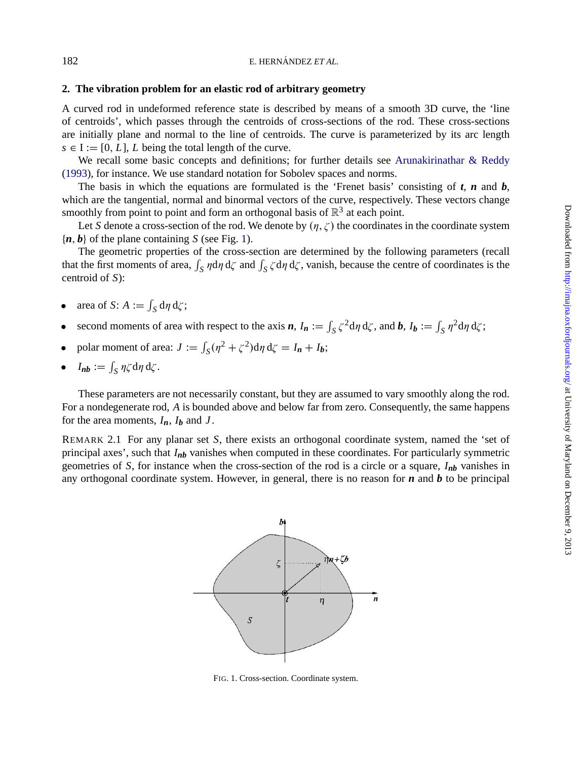### **2. The vibration problem for an elastic rod of arbitrary geometry**

A curved rod in undeformed reference state is described by means of a smooth 3D curve, the 'line of centroids', which passes through the centroids of cross-sections of the rod. These cross-sections are initially plane and normal to the line of centroids. The curve is parameterized by its arc length  $s \in I := [0, L]$ , *L* being the total length of the curve.

We recall some basic concepts and definitions; for further details see Arunakirinathar  $\&$  Reddy (1993), for instance. We use standard notation for Sobolev spaces and norms.

The basis in which the equations are formulated is the 'Frenet basis' consisting of *t*, *n* and *b*, which are the tangential, normal and binormal vectors of the curve, respectively. These vectors change smoothly from point to point and form an orthogonal basis of  $\mathbb{R}^3$  at each point.

Let *S* denote a cross-section of the rod. We denote by  $(\eta, \zeta)$  the coordinates in the coordinate system  ${n, b}$  of the plane containing *S* (see Fig. 1).

The geometric properties of the cross-section are determined by the following parameters (recall that the first moments of area,  $\int_S \eta d\eta d\zeta$  and  $\int_S \zeta d\eta d\zeta$ , vanish, because the centre of coordinates is the centroid of *S*):

- area of *S*:  $A := \int_S d\eta d\zeta$ ;
- second moments of area with respect to the axis  $n$ ,  $I_n := \int_S \zeta^2 d\eta d\zeta$ , and  $b$ ,  $I_b := \int_S \eta^2 d\eta d\zeta$ ;
- polar moment of area:  $J := \int_S (\eta^2 + \zeta^2) d\eta d\zeta = I_n + I_b;$
- $I_{nb} := \int_S \eta \zeta \, d\eta \, d\zeta$ .

These parameters are not necessarily constant, but they are assumed to vary smoothly along the rod. For a nondegenerate rod, *A* is bounded above and below far from zero. Consequently, the same happens for the area moments,  $I_n$ ,  $I_b$  and  $J$ .

REMARK 2.1 For any planar set *S*, there exists an orthogonal coordinate system, named the 'set of principal axes', such that *Inb* vanishes when computed in these coordinates. For particularly symmetric geometries of *S*, for instance when the cross-section of the rod is a circle or a square, *Inb* vanishes in any orthogonal coordinate system. However, in general, there is no reason for *n* and *b* to be principal



FIG. 1. Cross-section. Coordinate system.

<span id="page-2-0"></span>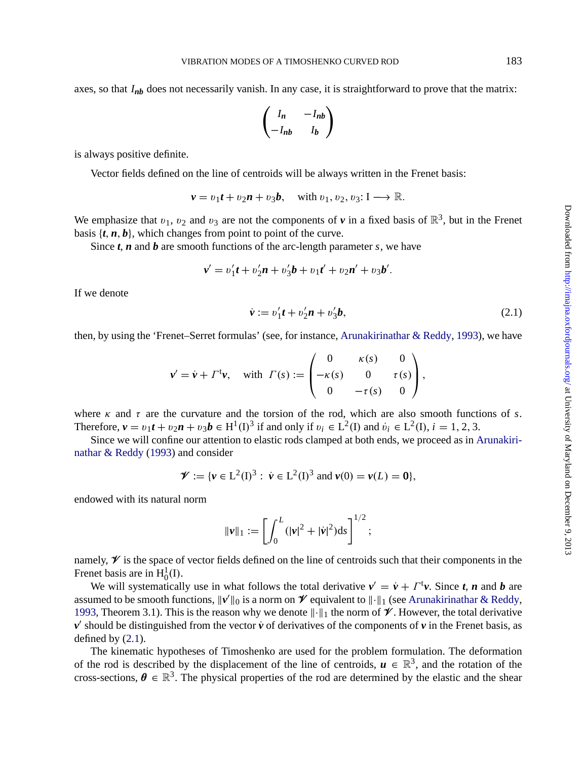#### VIBRATION MODES OF A TIMOSHENKO CURVED ROD 183

axes, so that *Inb* does not necessarily vanish. In any case, it is straightforward to prove that the matrix:

$$
\begin{pmatrix} I_n & -I_{nb} \\ -I_{nb} & I_b \end{pmatrix}
$$

is always positive definite.

Vector fields defined on the line of centroids will be always written in the Frenet basis:

$$
\mathbf{v} = v_1 \mathbf{t} + v_2 \mathbf{n} + v_3 \mathbf{b}, \quad \text{with } v_1, v_2, v_3 \colon \mathbf{I} \longrightarrow \mathbb{R}.
$$

We emphasize that  $v_1$ ,  $v_2$  and  $v_3$  are not the components of  $\nu$  in a fixed basis of  $\mathbb{R}^3$ , but in the Frenet basis  $\{t, n, b\}$ , which changes from point to point of the curv[e.](#page-26-0)

Since *t*, *n* and *b* are smooth functions of the arc-length parameter *s*, we have

$$
v' = v'_1t + v'_2n + v'_3b + v_1t' + v_2n' + v_3b'.
$$

If we denote

$$
\dot{\mathbf{v}} := v_1' \mathbf{t} + v_2' \mathbf{n} + v_3' \mathbf{b},\tag{2.1}
$$

then, by using the 'Frenet–Serret formulas' (see, for instance, Arunakirinathar & Reddy, 199[3\), we have](#page-26-0)

$$
\mathbf{v}' = \dot{\mathbf{v}} + \Gamma^{\mathsf{t}} \mathbf{v}, \quad \text{with} \ \ \Gamma(s) := \begin{pmatrix} 0 & \kappa(s) & 0 \\ -\kappa(s) & 0 & \tau(s) \\ 0 & -\tau(s) & 0 \end{pmatrix},
$$

where  $\kappa$  and  $\tau$  are the curvature and the torsion of the rod, which are also smooth functions of *s*. Therefore,  $v = v_1 t + v_2 n + v_3 b \in H^1(I)^3$  if and only if  $v_i \in L^2(I)$  and  $v_i \in L^2(I)$ ,  $i = 1, 2, 3$ .

Since we will confine our attention to elastic rods clamped at both ends, we proceed as in Arunakirinathar & Reddy (1993) and consider

$$
\mathscr{V} := \{ v \in L^2(I)^3 : \ \dot{v} \in L^2(I)^3 \text{ and } v(0) = v(L) = \mathbf{0} \},
$$

endowed with its natural norm

$$
\|\nu\|_1 := \left[\int_0^L (|\nu|^2 + |\dot{\nu}|^2) \mathrm{d} s\right]^{1/2};
$$

namely,  $\mathscr V$  is the space of vector fields defined on the line of centroids such that their components in the Frenet basis are in  $H_0^1(I)$ .

We will systematically use in what follows the total derivative  $v' = \dot{v} + \Gamma^{\dagger}v$ . Since *t*, *n* and *b* are assumed to be smooth functions,  $\|\nu'\|_0$  is a norm on  $\mathcal V$  equivalent to  $\|\cdot\|_1$  (see Arunakirinathar & Reddy, 1993, Theorem 3.1). This is the reason why we denote k∙k<sup>1</sup> the norm of V . However, the total derivative  $v'$  should be distinguished from the vector  $\dot{v}$  of derivatives of the components of  $v$  in the Frenet basis, as defined by (2.1).

The kinematic hypotheses of Timoshenko are used for the problem formulation. The deformation of the rod is described by the displacement of the line of centroids,  $u \in \mathbb{R}^3$ , and the rotation of the cross-sections,  $\theta \in \mathbb{R}^3$ . The physical properties of the rod are determined by the elastic and the shear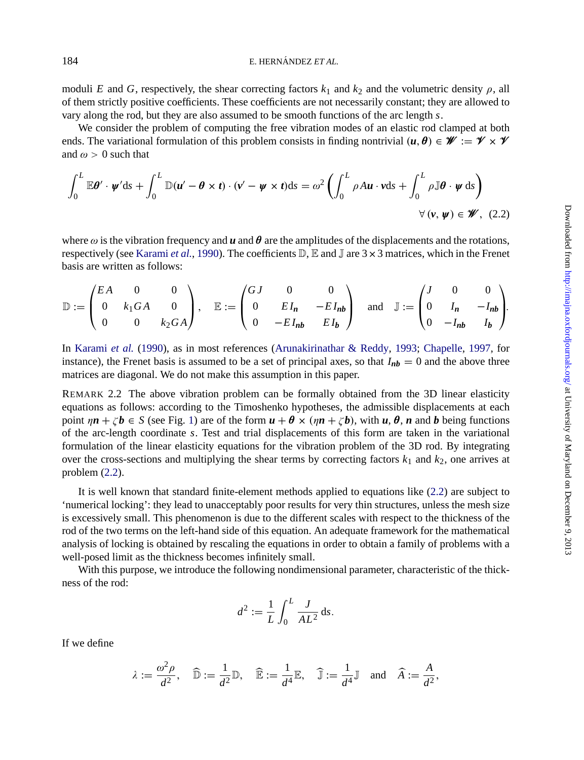moduli *E* and *G*, respectively, the shear correcting factors  $k_1$  and  $k_2$  and the volumetric density  $\rho$ , all of them strictly positive coefficients. These coefficients are not necessarily constant; they are allowed to vary along the rod, but they are also assumed to be smooth functions of the arc length *s*.

We consider the problem of computing the free vibration modes of an elastic rod clamped at both ends. The variati[on](#page-26-0)al formulation [of](#page-26-0) this problem consists in finding nontrivial  $(u, \theta) \in \mathcal{W} := \mathcal{V} \times \mathcal{V}$ and  $\omega > 0$  such t[hat](#page-26-0)

$$
\int_0^L \mathbb{E} \boldsymbol{\theta}' \cdot \boldsymbol{\psi}' \mathrm{d}s + \int_0^L \mathbb{D}(\boldsymbol{u}' - \boldsymbol{\theta} \times \boldsymbol{t}) \cdot (\boldsymbol{v}' - \boldsymbol{\psi} \times \boldsymbol{t}) \mathrm{d}s = \omega^2 \left( \int_0^L \rho A \boldsymbol{u} \cdot \boldsymbol{v} \mathrm{d}s + \int_0^L \rho \mathbb{J} \boldsymbol{\theta} \cdot \boldsymbol{\psi} \mathrm{d}s \right)
$$
  

$$
\forall (\boldsymbol{v}, \boldsymbol{\psi}) \in \mathscr{W}, (2.2)
$$

where  $\omega$  [is the vibration](#page-26-0) frequency and  $\boldsymbol{u}$  and  $\boldsymbol{\theta}$  ar[e the amplitudes of the disp](#page-26-0)l[acements and th](#page-26-0)e [rotati](#page-26-0)ons, respectively (see Karami *et al.*, 1990). The coefficients  $\mathbb{D}$ ,  $\mathbb{E}$  and  $\mathbb{J}$  are  $3 \times 3$  matrices, which in the Frenet basis are written as follows:

$$
\mathbb{D} := \begin{pmatrix} EA & 0 & 0 \\ 0 & k_1 GA & 0 \\ 0 & 0 & k_2 GA \end{pmatrix}, \quad \mathbb{E} := \begin{pmatrix} GJ & 0 & 0 \\ 0 & EI_n & -EI_{nb} \\ 0 & -EI_{nb} & EI_b \end{pmatrix} \quad \text{and} \quad \mathbb{J} := \begin{pmatrix} J & 0 & 0 \\ 0 & I_n & -I_{nb} \\ 0 & -I_{nb} & I_b \end{pmatrix}.
$$

In Karami *et al.* (1990), as in most references (Arunakirinathar & Reddy, 1993; Chapelle, 1997, for instance), the Frenet basis is assumed to be a set of principal axes, so that  $I_{nb} = 0$  and the above three matrices are diagonal. We do not make this assumption in this paper.

REMARK 2.2 The above vibration problem can be formally obtained from the 3D linear elasticity equations as follows: according to the Timoshenko hypotheses, the admissible displacements at each point  $\eta n + \zeta b \in S$  (see Fig. 1) are of the form  $u + \theta \times (\eta n + \zeta b)$ , with  $u, \theta, n$  and b being functions of the arc-length coordinate *s*. Test and trial displacements of this form are taken in the variational formulation of the linear elasticity equations for the vibration problem of the 3D rod. By integrating over the cross-sections and multiplying the shear terms by correcting factors  $k_1$  and  $k_2$ , one arrives at problem (2.2).

It is well known that standard finite-element methods applied to equations like (2.2) are subject to 'numerical locking': they lead to unacceptably poor results for very thin structures, unless the mesh size is excessively small. This phenomenon is due to the different scales with respect to the thickness of the rod of the two terms on the left-hand side of this equation. An adequate framework for the mathematical analysis of locking is obtained by rescaling the equations in order to obtain a family of problems with a well-posed limit as the thickness becomes infinitely small.

With this purpose, we introduce the following nondimensional parameter, characteristic of the thickness of the rod:

$$
d^2 := \frac{1}{L} \int_0^L \frac{J}{AL^2} \, \mathrm{d}s.
$$

If we define

$$
\lambda:=\frac{\omega^2\rho}{d^2},\quad \widehat{\mathbb{D}}:=\frac{1}{d^2}\mathbb{D},\quad \widehat{\mathbb{E}}:=\frac{1}{d^4}\mathbb{E},\quad \widehat{\mathbb{J}}:=\frac{1}{d^4}\mathbb{J}\quad \text{and}\quad \widehat{A}:=\frac{A}{d^2},
$$

<span id="page-4-0"></span>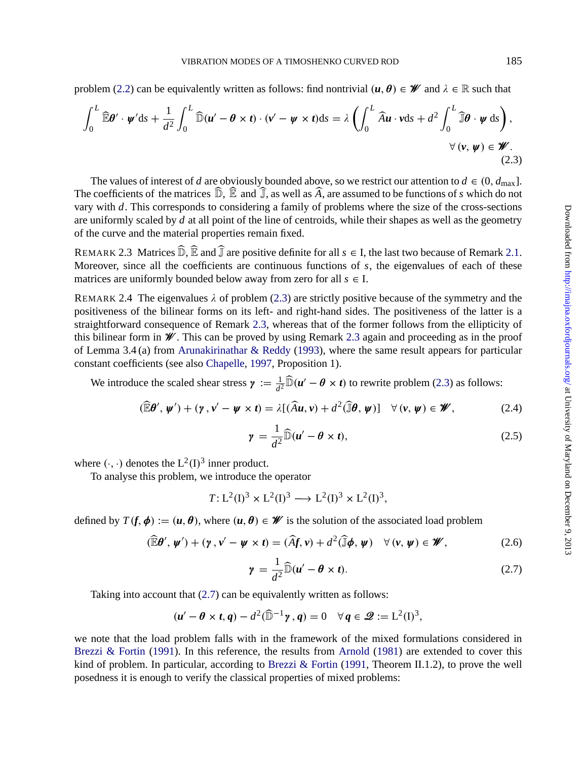<span id="page-5-0"></span>problem (2.2) can be equivalently written as follows: find nontrivial  $(u, \theta) \in \mathcal{W}$  and  $\lambda \in \mathbb{R}$  such that

$$
\int_0^L \widehat{\mathbb{E}} \theta' \cdot \psi' \, \mathrm{d}s + \frac{1}{d^2} \int_0^L \widehat{\mathbb{D}}(u' - \theta \times t) \cdot (v' - \psi \times t) \, \mathrm{d}s = \lambda \left( \int_0^L \widehat{A}u \cdot v \, \mathrm{d}s + d^2 \int_0^L \widehat{\mathbb{J}} \theta \cdot \psi \, \mathrm{d}s \right),
$$
\n
$$
\forall (v, \psi) \in \mathscr{W}.
$$
\n(2.3)

The values of interest of *d* are obviously bounded above, so we restrict our attention to  $d \in (0, d_{\text{max}}]$ . The coefficients of the matrices  $\mathbb{D}$ ,  $\mathbb{E}$  and  $\mathbb{J}$ , as well as *A*, are assumed to be functions of *s* which do not vary with *d*. This corresponds to considering a family of problems where the size of the cross-sections are uniformly scaled by *d* at all point of the line of centroids, while their shapes as well as the geometry of the curve and the material properties remain fixed.

REMARK 2.3 Matrices  $\widehat{\mathbb{D}}$ ,  $\widehat{\mathbb{E}}$  and  $\widehat{\mathbb{J}}$  [are](#page-26-0) [positive](#page-26-0) [definite](#page-26-0) [fo](#page-26-0)r all  $s \in I$ , the last two because of Remark 2.1. Moreover, since all the coef[ficients](#page-26-0) [are](#page-26-0) [cont](#page-26-0)inuous functions of *s*, the eigenvalues of each of these matrices are uniformly bounded below away from zero for all  $s \in I$ .

REMARK 2.4 The eigenvalues  $\lambda$  of problem (2.3) are strictly positive because of the symmetry and the positiveness of the bilinear forms on its left- and right-hand sides. The positiveness of the latter is a straightforward consequence of Remark 2.3, whereas that of the former follows from the ellipticity of this bilinear form in  $\mathscr W$ . This can be proved by using Remark 2.3 again and proceeding as in the proof of Lemma 3.4 (a) from Arunakirinathar & Reddy (1993), where the same result appears for particular constant coefficients (see also Chapelle, 1997, Proposition 1).

We introduce the scaled shear stress  $\gamma := \frac{1}{d^2} \widehat{D}(u' - \theta \times t)$  to rewrite problem (2.3) as follows:

$$
(\widehat{\mathbb{E}}\boldsymbol{\theta}', \boldsymbol{\psi}') + (\boldsymbol{\gamma}, \boldsymbol{v}' - \boldsymbol{\psi} \times \boldsymbol{t}) = \lambda [(\widehat{A}\boldsymbol{u}, \boldsymbol{v}) + d^2(\widehat{\mathbb{J}}\boldsymbol{\theta}, \boldsymbol{\psi})] \quad \forall (\boldsymbol{v}, \boldsymbol{\psi}) \in \boldsymbol{\mathscr{W}},
$$
 (2.4)

$$
\gamma = \frac{1}{d^2} \widehat{\mathbb{D}}(u' - \theta \times t), \qquad (2.5)
$$

where  $(·, ·)$  denotes the  $L^2(I)^3$  inner product.

To analyse this problem, we introduce the operator

$$
T: L2(I)3 \times L2(I)3 \longrightarrow L2(I)3 \times L2(I)3,
$$

defined by  $T(f, \phi) := (u, \theta)$ , where  $(u, \theta) \in \mathcal{W}$  is the solution of the associated load problem

$$
(\widehat{\mathbb{E}}\boldsymbol{\theta}', \boldsymbol{\psi}') + (\boldsymbol{\gamma}, \boldsymbol{v}' - \boldsymbol{\psi} \times \boldsymbol{t}) = (\widehat{A}\boldsymbol{f}, \boldsymbol{v}) + d^2(\widehat{\mathbb{J}}\boldsymbol{\phi}, \boldsymbol{\psi}) \quad \forall (\boldsymbol{v}, \boldsymbol{\psi}) \in \boldsymbol{\mathscr{W}},
$$
 (2.6)

$$
\gamma = \frac{1}{d^2} \widehat{\mathbb{D}}(u' - \theta \times t). \tag{2.7}
$$

Taking into account that (2.7) can be equivalently written as follows:

$$
(\mathbf{u}'-\boldsymbol{\theta}\times\mathbf{t},\mathbf{q})-d^2(\widehat{\mathbb{D}}^{-1}\mathbf{y},\mathbf{q})=0\quad\forall\mathbf{q}\in\mathbf{\mathcal{Q}}:=L^2(I)^3,
$$

we note that the load problem falls with in the framework of the mixed formulations considered in Brezzi & Fortin (1991). In this reference, the results from Arnold (1981) are extended to cover this kind of problem. In particular, according to Brezzi  $\&$  Fortin (1991, Theorem II.1.2), to prove the well posedness it is enough to verify the classical properties of mixed problems: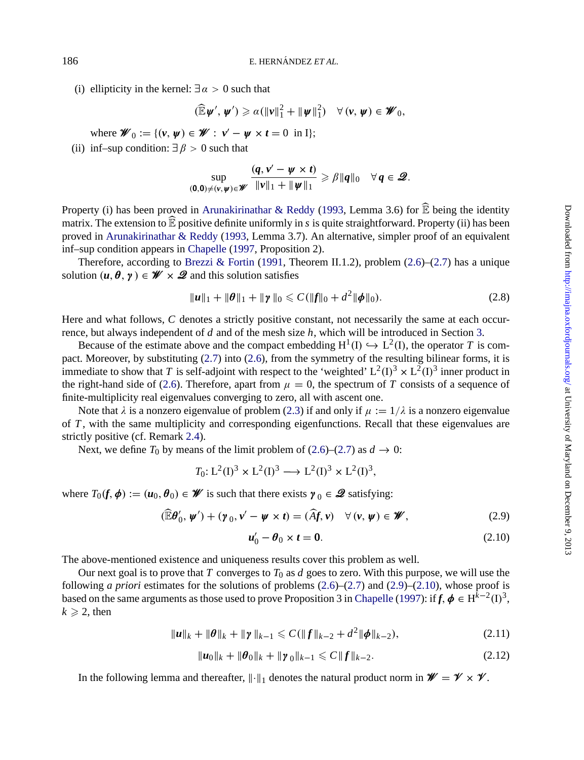(i) ellipticity in the kernel:  $\exists \alpha > 0$  such that

$$
(\widehat{\mathbb{E}}\boldsymbol{\psi}',\boldsymbol{\psi}')\geqslant \alpha(\|\boldsymbol{\nu}\|_{1}^{2}+\|\boldsymbol{\psi}\|_{1}^{2})\quad\forall(\boldsymbol{\nu},\boldsymbol{\psi})\in\boldsymbol{\mathscr{W}}_{0},
$$

where  $\mathscr{W}_0 := \{ (v, \psi) \in \mathscr{W} : v' - \psi \times t = 0 \text{ in } I \};$ 

(ii) inf–sup condition:  $\exists \beta > 0$  $\exists \beta > 0$  [such](#page-26-0) [that](#page-26-0)

$$
\sup_{(\mathbf{0},\mathbf{0})\neq(\mathbf{v},\mathbf{w})\in\mathscr{W}}\frac{(q,\mathbf{v}'-\mathbf{w}\times\mathbf{t})}{\|\mathbf{v}\|_1+\|\mathbf{w}\|_1}\geqslant\beta\|q\|_0\quad\forall\,q\in\mathscr{Q}.
$$

Property (i) has been proved in Arunakirinathar & Reddy (1993, Lemma 3.6) for  $\widehat{\mathbb{E}}$  being the identity matrix. The extension to  $\mathbb{\bar{E}}$  positive definite uniformly in *s* is quite straightforward. Property (ii) [ha](#page-8-0)s been proved in Arunakirinathar & Reddy (1993, Lemma 3.7). An alternative, simpler proof of an equivalent inf–sup condition appears in Ch[apel](#page-5-0)le (19[97, P](#page-5-0)roposition 2).

Therefore, according to Brezzi & Fortin (1991, Theorem II.1.2), problem (2.6)–(2.7) has a unique solution  $(u, \theta, \gamma) \in \mathcal{W} \times \mathcal{Q}$  and this solution satisfies

$$
\|\boldsymbol{u}\|_1 + \|\boldsymbol{\theta}\|_1 + \|\boldsymbol{\gamma}\|_0 \leqslant C(\|\boldsymbol{f}\|_0 + d^2 \|\boldsymbol{\phi}\|_0). \tag{2.8}
$$

Here and what follows, *C* denotes a strictly positive constant, not necessarily the same at each occurrence, but always independe[nt o](#page-5-0)f *d* and of the mesh size *h*, which will be introduced in Section 3.

Because of the estimate above and the compact embe[ddin](#page-5-0)g  $H^1(I) \hookrightarrow L^2(I)$ , the operator *T* is compact. Moreover, by substituting (2.7) into (2.6), from the symmetry of the resulting bilinear forms, it is immediate to show that *T* is self-adjoint with respect to the 'weighted'  $L^2(I)^3 \times L^2(I)^3$  inner product in the right-hand side of (2.6). Therefore, apart from  $\mu = 0$ , the spectrum of *T* consists of a sequence of finite-multiplicity real eigenvalues converging to zero, all with ascent one.

Note that  $\lambda$  is a nonzero eigenvalue of problem (2.3) if and only if  $\mu := 1/\lambda$  is a nonzero eigenvalue of *T* , with the same multiplicity and corresponding eigenfunctions. Recall that these eigenvalues are strictly positive (cf. Remark 2.4).

Next, we define  $T_0$  by means of the limit problem of (2.6)–(2.7) as  $d \rightarrow 0$ :

$$
T_0: L^2(I)^3 \times L^2(I)^3 \longrightarrow L^2(I)^3 \times L^2(I)^3,
$$

where  $T_0(f, \phi) := (u_0, \theta_0) \in \mathcal{W}$  is such that there exists  $\gamma_0 \in \mathcal{Q}$  s[atisfying:](#page-26-0)

$$
(\mathbb{E}\boldsymbol{\theta}'_0, \boldsymbol{\psi}') + (\boldsymbol{\gamma}_0, \boldsymbol{\nu}' - \boldsymbol{\psi} \times \boldsymbol{t}) = (\widehat{A}\boldsymbol{f}, \boldsymbol{\nu}) \quad \forall (\boldsymbol{\nu}, \boldsymbol{\psi}) \in \boldsymbol{\mathscr{W}}, \tag{2.9}
$$

$$
\boldsymbol{u}'_0 - \boldsymbol{\theta}_0 \times \boldsymbol{t} = \mathbf{0}.\tag{2.10}
$$

The above-mentioned existence and uniqueness results cover this problem as well.

Our next goal is to prove that *T* converges to  $T_0$  as *d* goes to zero. With this purpose, we will use the following *a priori* estimates for the solutions of problems (2.6)–(2.7) and (2.9)–(2.10), whose proof is based on the same arguments as those used to prove Proposition 3 in Chapelle (1997): if  $f$ ,  $\phi \in H^{\hat{k}-2}(I)^3$ ,  $k \geqslant 2$ , then

$$
\|\boldsymbol{u}\|_{k} + \|\boldsymbol{\theta}\|_{k} + \|\boldsymbol{\gamma}\|_{k-1} \leqslant C(\|\boldsymbol{f}\|_{k-2} + d^2\|\boldsymbol{\phi}\|_{k-2}),
$$
\n(2.11)

$$
\|\mathbf{u}_0\|_{k} + \|\boldsymbol{\theta}_0\|_{k} + \|\mathbf{y}_0\|_{k-1} \leqslant C \|f\|_{k-2}.
$$
 (2.12)

In the following lemma and thereafter,  $\|\cdot\|_1$  denotes the natural product norm in  $\mathscr{W} = \mathscr{V} \times \mathscr{V}$ .

<span id="page-6-0"></span>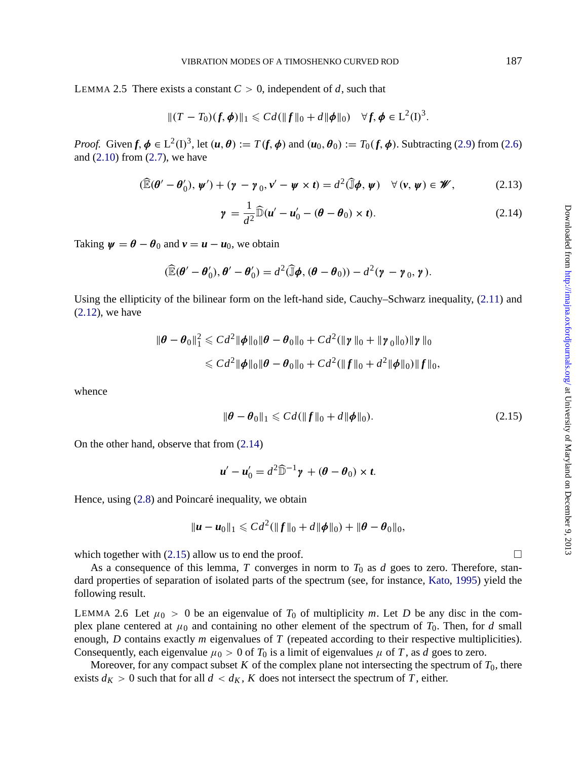<span id="page-7-0"></span>LEMMA 2.5 There exists a constant  $C > 0$ , independent of *d*, such that

$$
||(T - T_0)(f, \phi)||_1 \leq C d(||f||_0 + d||\phi||_0) \quad \forall f, \phi \in L^2(I)^3.
$$

*Proof.* Given  $f, \phi \in L^2(\mathbb{D}^3)$ , let  $(u, \theta) := T(f, \phi)$  and  $(u_0, \theta_0) := T_0(f, \phi)$ . Subtracting (2.9) from (2.6) and (2.10) from (2.7), we have

$$
(\widehat{\mathbb{E}}(\boldsymbol{\theta}' - \boldsymbol{\theta}'_0), \boldsymbol{\psi}') + (\boldsymbol{\gamma} - \boldsymbol{\gamma}_0, \boldsymbol{\nu}' - \boldsymbol{\psi} \times \boldsymbol{t}) = d^2(\widehat{\mathbb{J}}\boldsymbol{\phi}, \boldsymbol{\psi}) \quad \forall (\boldsymbol{\nu}, \boldsymbol{\psi}) \in \mathscr{W},
$$
 (2.13)

$$
\gamma = \frac{1}{d^2} \widehat{\mathbb{D}}(u' - u'_0 - (\theta - \theta_0) \times t).
$$
 (2.14)

Taking  $\psi = \theta - \theta_0$  and  $v = u - u_0$ , we obtain

$$
(\widehat{\mathbb{E}}(\boldsymbol{\theta}'-\boldsymbol{\theta}'_0),\boldsymbol{\theta}'-\boldsymbol{\theta}'_0)=d^2(\widehat{\mathbb{J}}\boldsymbol{\phi},(\boldsymbol{\theta}-\boldsymbol{\theta}_0))-d^2(\boldsymbol{\gamma}-\boldsymbol{\gamma}_0,\boldsymbol{\gamma}).
$$

Using the ellipticity of the bilinear form on the left-hand side, Cauchy–Schwarz inequality, (2.11) and (2.12), we have

$$
\|\boldsymbol{\theta} - \boldsymbol{\theta}_0\|_{1}^{2} \leq C d^{2} \|\boldsymbol{\phi}\|_{0} \|\boldsymbol{\theta} - \boldsymbol{\theta}_0\|_{0} + C d^{2} (\|\boldsymbol{\gamma}\|_{0} + \|\boldsymbol{\gamma}_0\|_{0}) \|\boldsymbol{\gamma}\|_{0}
$$
  

$$
\leq C d^{2} \|\boldsymbol{\phi}\|_{0} \|\boldsymbol{\theta} - \boldsymbol{\theta}_0\|_{0} + C d^{2} (\|f\|_{0} + d^{2} \|\boldsymbol{\phi}\|_{0}) \|f\|_{0},
$$

whence

$$
\|\boldsymbol{\theta} - \boldsymbol{\theta}_0\|_1 \leqslant C d(\|f\|_0 + d\|\boldsymbol{\phi}\|_0). \tag{2.15}
$$

On the other hand, observe that from (2.14)

$$
u'-u'_0=d^2\widehat{\mathbb{D}}^{-1}\gamma+(\theta-\theta_0)\times t.
$$

Hence, using  $(2.8)$  and Poincaré inequality, we obtain

$$
\|\mathbf{u}-\mathbf{u}_0\|_1 \leqslant C d^2(\|f\|_0 + d\|\boldsymbol{\phi}\|_0) + \|\boldsymbol{\theta}-\boldsymbol{\theta}_0\|_0,
$$

which together with (2.15) allow us to end the proof.  $\Box$ 

As a consequence of this lemma,  $T$  converges in norm to  $T_0$  as  $d$  goes to zero. Therefore, standard properties of separation of isolated parts of the spectrum (see, for instance, Kato, 1995) yield the following result.

LEMMA 2.6 Let  $\mu_0 > 0$  be an eigenvalue of  $T_0$  of multiplicity *m*. Let *D* be any disc in the complex plane centered at  $\mu_0$  and containing no other element of the spectrum of  $T_0$ . Then, for *d* small enough, *D* contains exactly *m* eigenvalues of *T* (repeated according to their respective multiplicities). Consequently, each eigenvalue  $\mu_0 > 0$  of  $T_0$  is a limit of eigenvalues  $\mu$  of T, as d goes to zero.

Moreover, for any compact subset  $K$  of the complex plane not intersecting the spectrum of  $T_0$ , there exists  $d_K > 0$  such that for all  $d < d_K$ , K does not intersect the spectrum of T, either.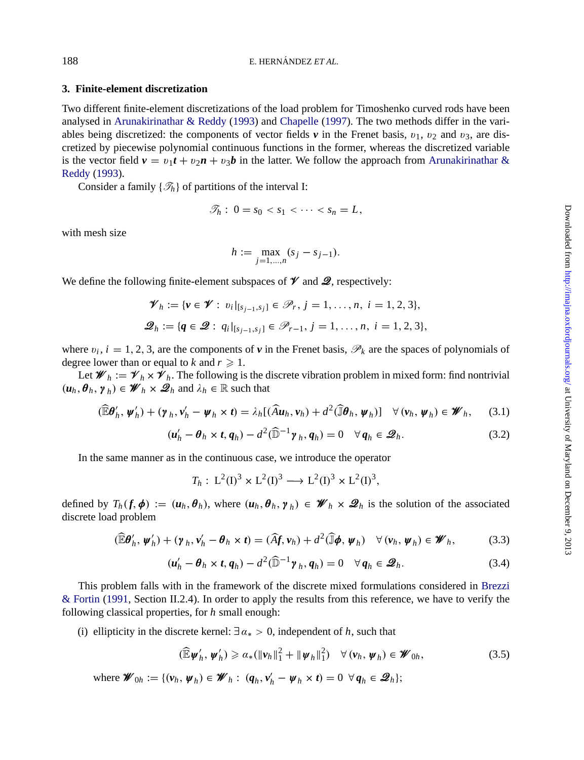### **3. Finite-element discretization**

Two different finite-element discretizations of the load problem for Timoshenko curved rods have been analysed in Arunakirinathar & Reddy (1993) and Chapelle (1997). The two methods differ in the variables being discretized: the components of vector fields  $\nu$  in the Frenet basis,  $v_1$ ,  $v_2$  and  $v_3$ , are discretized by piecewise polynomial continuous functions in the former, whereas the discretized variable is the vector field  $v = v_1 t + v_2 n + v_3 b$  in the latter. We follow the approach from Arunakirinathar & Reddy (1993).

Consider a family  $\{\mathcal{T}_h\}$  of partitions of the interval I:

$$
\mathscr{T}_h: 0 = s_0 < s_1 < \cdots < s_n = L,
$$

with mesh size

$$
h := \max_{j=1,\dots,n} (s_j - s_{j-1}).
$$

We define the following finite-element subspaces of  $\mathcal V$  and  $\mathcal Q$ , respectively:

$$
\mathscr{V}_h := \{ v \in \mathscr{V} : \; v_i |_{[s_{j-1}, s_j]} \in \mathscr{P}_r, \, j = 1, \dots, n, \, i = 1, 2, 3 \},
$$
\n
$$
\mathscr{Q}_h := \{ q \in \mathscr{Q} : \, q_i |_{[s_{j-1}, s_j]} \in \mathscr{P}_{r-1}, \, j = 1, \dots, n, \, i = 1, 2, 3 \},
$$

where  $v_i$ ,  $i = 1, 2, 3$ , are the components of  $v$  in the Frenet basis,  $\mathcal{P}_k$  are the spaces of polynomials of degree lower than or equal to *k* and  $r \geq 1$ .

Let  $\mathscr{W}_h := \mathscr{V}_h \times \mathscr{V}_h$ . The following is the discrete vibration problem in mixed form: find nontrivial  $(\boldsymbol{u}_h, \boldsymbol{\theta}_h, \boldsymbol{\gamma}_h) \in \mathscr{W}_h \times \mathscr{Q}_h$  and  $\lambda_h \in \mathbb{R}$  such that

$$
(\widehat{\mathbb{E}}\boldsymbol{\theta}'_h, \boldsymbol{\psi}'_h) + (\boldsymbol{\gamma}_h, \boldsymbol{\nu}'_h - \boldsymbol{\psi}_h \times \boldsymbol{t}) = \lambda_h [(\widehat{A}\boldsymbol{u}_h, \boldsymbol{\nu}_h) + d^2 (\widehat{\mathbb{J}}\boldsymbol{\theta}_h, \boldsymbol{\psi}_h)] \quad \forall (\boldsymbol{\nu}_h, \boldsymbol{\psi}_h) \in \boldsymbol{\mathscr{W}}_h,
$$
 (3.1)

$$
(\boldsymbol{u}'_h - \boldsymbol{\theta}_h \times \boldsymbol{t}, \boldsymbol{q}_h) - d^2 (\widehat{\mathbb{D}}^{-1} \boldsymbol{\gamma}_h, \boldsymbol{q}_h) = 0 \quad \forall \, \boldsymbol{q}_h \in \mathcal{Q}_h. \tag{3.2}
$$

In the same manner as in the continuous case, we introduce the operator

$$
T_h: L^2(I)^3 \times L^2(I)^3 \longrightarrow L^2(I)^3 \times L^2(I)^3,
$$

[defined](#page-26-0) by  $T_h(f, \phi) := (u_h, \theta_h)$  $T_h(f, \phi) := (u_h, \theta_h)$ , where  $(u_h, \theta_h, \gamma_h) \in \mathcal{W}_h \times \mathcal{Q}_h$  is the solution of the associated discrete load problem

$$
(\widehat{\mathbb{E}}\boldsymbol{\theta}'_h, \boldsymbol{\psi}'_h) + (\boldsymbol{\gamma}_h, \boldsymbol{v}'_h - \boldsymbol{\theta}_h \times \boldsymbol{t}) = (\widehat{A}\boldsymbol{f}, \boldsymbol{v}_h) + d^2(\widehat{\mathbb{J}}\boldsymbol{\phi}, \boldsymbol{\psi}_h) \quad \forall (\boldsymbol{v}_h, \boldsymbol{\psi}_h) \in \boldsymbol{\mathscr{W}}_h,
$$
 (3.3)

$$
(\boldsymbol{u}'_h - \boldsymbol{\theta}_h \times \boldsymbol{t}, \boldsymbol{q}_h) - d^2 (\widehat{\mathbb{D}}^{-1} \boldsymbol{\gamma}_h, \boldsymbol{q}_h) = 0 \quad \forall \, \boldsymbol{q}_h \in \mathcal{Q}_h. \tag{3.4}
$$

This problem falls with in the framework of the discrete mixed formulations considered in Brezzi & Fortin (1991, Section II.2.4). In order to apply the results from this reference, we have to verify the following classical properties, for *h* small enough:

(i) ellipticity in the discrete kernel:  $\exists \alpha_* > 0$ , independent of *h*, such that

$$
(\widehat{\mathbb{E}}\boldsymbol{\psi}'_h, \boldsymbol{\psi}'_h) \geq \alpha_* (\|\boldsymbol{\nu}_h\|_1^2 + \|\boldsymbol{\psi}_h\|_1^2) \quad \forall (\boldsymbol{\nu}_h, \boldsymbol{\psi}_h) \in \boldsymbol{W}_{0h},
$$
\n(3.5)

where  $\mathscr{W}_{0h} := \{(\mathbf{v}_h, \mathbf{\psi}_h) \in \mathscr{W}_h : (q_h, \mathbf{v}'_h - \mathbf{\psi}_h \times \mathbf{t}) = 0 \ \forall q_h \in \mathscr{Q}_h\};$ 

<span id="page-8-0"></span>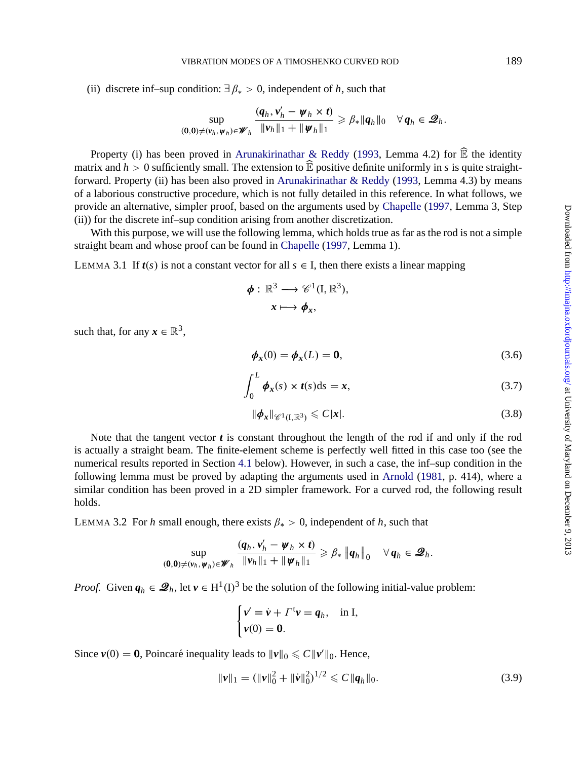<span id="page-9-0"></span>(ii) discrete inf–sup condition:  $\exists \beta_* > 0$ , independent of *h*, such that

$$
\sup_{(\mathbf{0},\mathbf{0})\neq(\mathbf{v}_h,\boldsymbol{\psi}_h)\in\boldsymbol{\mathscr{W}}_h} \frac{(q_h,\mathbf{v}_h'-\boldsymbol{\psi}_h\times\boldsymbol{t})}{\|\mathbf{v}_h\|_1+\|\boldsymbol{\psi}_h\|_1} \geqslant \beta_*\|q_h\|_0 \quad \forall q_h\in\mathcal{Q}_h.
$$

Property (i) has been proved in Arunakirinathar & Reddy (1993, Lemma 4.2) for  $\widehat{\mathbb{E}}$  the identity matrix and  $h > 0$  sufficiently small. The extension to  $\widehat{\mathbb{E}}$  positive definite uniformly in *s* is quite straightforward. Property (ii) has been also proved in Arunakirinathar & Reddy (1993, Lemma 4.3) by means of a laborious constructive procedure, which is not fully detailed in this reference. In what follows, we provide an alternative, simpler proof, based on the arguments used by Chapelle (1997, Lemma 3, Step (ii)) for the discrete inf–sup condition arising from another discretization.

With this purpose, we will use the following lemma, which holds true as far as the rod is not a simple straight beam and whose proof can be found in Chapelle (1997, Lemma 1).

LEMMA 3.1 If  $t(s)$  is not a constant vector for all  $s \in I$ , then there exists a linear mapping

$$
\phi: \mathbb{R}^3 \longrightarrow \mathscr{C}^1(\mathbf{I}, \mathbb{R}^3),
$$

$$
x \longmapsto \phi_x,
$$

such that, for any  $x \in \mathbb{R}^3$ ,

$$
\phi_x(0) = \phi_x(L) = 0,\tag{3.6}
$$

$$
\int_0^L \phi_x(s) \times t(s) \, \mathrm{d}s = x,\tag{3.7}
$$

$$
\|\boldsymbol{\phi}_{\boldsymbol{x}}\|_{\mathscr{C}^1(I,\mathbb{R}^3)} \leqslant C|\boldsymbol{x}|.
$$
\n(3.8)

Note that the tangent vector  $t$  is constant throughout the length of the rod if and only if the rod is actually a straight beam. The finite-element scheme is perfectly well fitted in this case too (see the numerical results reported in Section 4.1 below). However, in such a case, the inf–sup condition in the following lemma must be proved by adapting the arguments used in Arnold (1981, p. 414), where a similar condition has been proved in a 2D simpler framework. For a curved rod, the following result holds.

LEMMA 3.2 For *h* small enough, there exists  $\beta_* > 0$ , independent of *h*, such that

$$
\sup_{(\mathbf{0},\mathbf{0})\neq(\mathbf{v}_h,\boldsymbol{\psi}_h)\in\boldsymbol{\mathscr{W}}_h}\frac{(q_h,\mathbf{v}_h'-\boldsymbol{\psi}_h\times\boldsymbol{t})}{\|\boldsymbol{\nu}_h\|_1+\|\boldsymbol{\psi}_h\|_1}\geqslant\beta_*\left\|q_h\right\|_0\quad\forall\,q_h\in\mathcal{Q}_h.
$$

*Proof.* Given  $q_h \in \mathcal{Q}_h$ , let  $v \in H^1(I)^3$  be the solution of the following initial-value problem:

$$
\begin{cases} v' \equiv \dot{v} + \Gamma^{\dagger} v = q_h, & \text{in I}, \\ v(0) = 0. \end{cases}
$$

Since  $v(0) = 0$ , Poincaré inequality leads to  $||v||_0 \leq C ||v'||_0$ . Hence,

$$
\|\mathbf{v}\|_{1} = (\|\mathbf{v}\|_{0}^{2} + \|\dot{\mathbf{v}}\|_{0}^{2})^{1/2} \leq C \|\mathbf{q}_{h}\|_{0}.
$$
 (3.9)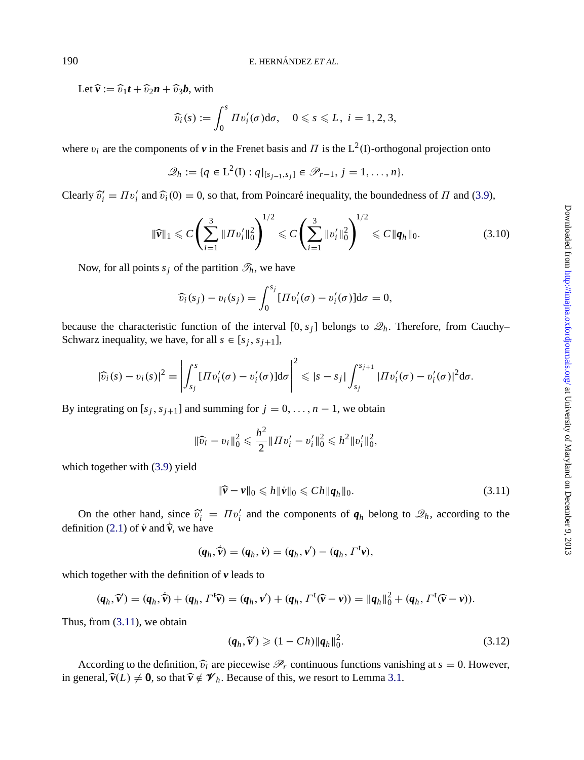Let  $\hat{\mathbf{v}} := \hat{v}_1 t + \hat{v}_2 n + \hat{v}_3 b$ , with

$$
\widehat{v_i}(s) := \int_0^s \Pi v_i'(\sigma) d\sigma, \quad 0 \leqslant s \leqslant L, \ i = 1, 2, 3,
$$

where  $v_i$  are the components of  $v$  in the Frenet basis and  $\Pi$  is the L<sup>2</sup>(I)-orthogonal projection onto

$$
\mathscr{Q}_h := \{q \in \mathbb{L}^2(\mathbb{I}) : q|_{[s_{j-1}, s_j]} \in \mathscr{P}_{r-1}, j = 1, \dots, n\}.
$$

Clearly  $\hat{v}'_i = \Pi v'_i$  and  $\hat{v}_i(0) = 0$ , so that, from Poincaré inequality, the boundedness of  $\Pi$  and (3.9),

$$
\|\widehat{\mathbf{v}}\|_1 \leqslant C \left( \sum_{i=1}^3 \|H v_i' \|_0^2 \right)^{1/2} \leqslant C \left( \sum_{i=1}^3 \|v_i' \|_0^2 \right)^{1/2} \leqslant C \|q_h\|_0. \tag{3.10}
$$

Now, for all points  $s_j$  of the partition  $\mathcal{T}_h$ , we have

$$
\widehat{v}_i(s_j) - v_i(s_j) = \int_0^{s_j} [T v'_i(\sigma) - v'_i(\sigma)] d\sigma = 0,
$$

because the characteristic function of the interval  $[0, s_j]$  belongs to  $\mathcal{Q}_h$ . Therefore, from Cauchy– Schwarz inequality, we have, for all  $s \in [s_j, s_{j+1}]$ ,

$$
|\widehat{v_i}(s)-v_i(s)|^2=\left|\int_{s_j}^s [T v_i'(\sigma)-v_i'(\sigma)]\mathrm{d}\sigma\right|^2\leqslant|s-s_j|\int_{s_j}^{s_{j+1}}|T v_i'(\sigma)-v_i'(\sigma)|^2\mathrm{d}\sigma.
$$

By integrating on  $[s_j, s_{j+1}]$  and summing for  $j = 0, \ldots, n-1$ , we obtain

$$
\|\widehat{v_i} - v_i\|_0^2 \leqslant \frac{h^2}{2} \|Hv_i' - v_i'\|_0^2 \leqslant h^2 \|v_i'\|_0^2,
$$

which together with (3.9) yield

$$
\|\widehat{\mathbf{v}} - \mathbf{v}\|_0 \leqslant h \|\dot{\mathbf{v}}\|_0 \leqslant C h \|\boldsymbol{q}_h\|_0. \tag{3.11}
$$

On the other hand, since  $\hat{v}_i^{\prime} = \Pi v_i^{\prime}$  and the components of  $q_h$  belong to  $\mathcal{Q}_h$ , according to the definition (2.1) of  $\dot{v}$  and  $\dot{\hat{v}}$ , we have

 $(q_h, \hat{v}) = (q_h, v) = (q_h, v') - (q_h, \Gamma^{\text{t}} v),$ 

which together with the definition of *v* leads to

$$
(\boldsymbol{q}_h, \widehat{\boldsymbol{v}}') = (\boldsymbol{q}_h, \widehat{\boldsymbol{v}}) + (\boldsymbol{q}_h, \Gamma^{\dagger} \widehat{\boldsymbol{v}}) = (\boldsymbol{q}_h, \boldsymbol{v}') + (\boldsymbol{q}_h, \Gamma^{\dagger} (\widehat{\boldsymbol{v}} - \boldsymbol{v})) = ||\boldsymbol{q}_h||_0^2 + (\boldsymbol{q}_h, \Gamma^{\dagger} (\widehat{\boldsymbol{v}} - \boldsymbol{v})).
$$

Thus, from (3.11), we obtain

$$
(\boldsymbol{q}_h, \widehat{\boldsymbol{\nu}}') \geqslant (1 - Ch) \|\boldsymbol{q}_h\|_0^2. \tag{3.12}
$$

According to the definition,  $\hat{v}_i$  are piecewise  $\mathcal{P}_r$  continuous functions vanishing at  $s = 0$ . However, in general,  $\hat{v}(L) \neq 0$ , so that  $\hat{v} \notin V_h$ . Because of this, we resort to Lemma 3.1.

<span id="page-10-0"></span>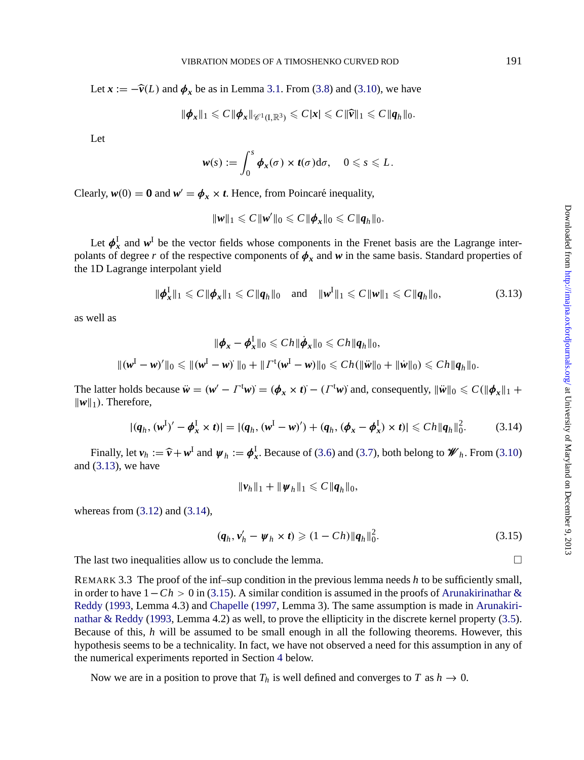Let  $\mathbf{x} := -\hat{\mathbf{v}}(L)$  and  $\phi_x$  be as in Lemma 3.1. From (3.8) and (3.10), we have

$$
\|\boldsymbol{\phi}_{\boldsymbol{x}}\|_1 \leqslant C \|\boldsymbol{\phi}_{\boldsymbol{x}}\|_{\mathscr{C}^1(I,\mathbb{R}^3)} \leqslant C |\boldsymbol{x}| \leqslant C \|\widehat{\boldsymbol{v}}\|_1 \leqslant C \|\boldsymbol{q}_h\|_0.
$$

Let

$$
\mathbf{w}(s) := \int_0^s \boldsymbol{\phi}_x(\sigma) \times t(\sigma) \mathrm{d}\sigma, \quad 0 \leqslant s \leqslant L.
$$

Clearly,  $w(0) = 0$  and  $w' = \phi_x \times t$ . Hence, from Poincaré inequality,

$$
\|\boldsymbol{w}\|_1 \leqslant C \|\boldsymbol{w}'\|_0 \leqslant C \|\boldsymbol{\phi}_{\boldsymbol{x}}\|_0 \leqslant C \|\boldsymbol{q}_h\|_0.
$$

Let  $\phi_x^I$  and  $w^I$  be the vector fields whose components in the Frenet basis are the Lagrange interpolants of degree *r* of the respective components of  $\phi_x$  and  $w$  in the same basis. Standard properties of the 1D Lagrange interpolant yield

$$
\|\pmb{\phi}_{x}^{I}\|_{1} \leqslant C \|\pmb{\phi}_{x}\|_{1} \leqslant C \|\pmb{q}_{h}\|_{0} \quad \text{and} \quad \|\pmb{w}^{I}\|_{1} \leqslant C \|\pmb{w}\|_{1} \leqslant C \|\pmb{q}_{h}\|_{0}, \tag{3.13}
$$

as well as

$$
\|\phi_x - \phi_x^{\mathrm{I}}\|_0 \leqslant Ch \|\dot{\phi}_x\|_0 \leqslant Ch \|q_h\|_0,
$$
  

$$
\|(w^{\mathrm{I}} - w)^{\prime}\|_0 \leqslant \| (w^{\mathrm{I}} - w)^{\prime}\|_0 + \| \varGamma^{\mathrm{t}}(w^{\mathrm{I}} - w)\|_0 \leqslant Ch (\|\ddot{w}\|_0 + \|\dot{w}\|_0) \leqslant Ch \|q_h\|_0.
$$

The latter holds because  $\ddot{w} = (w' - \Gamma^{\text{t}} w) = (\phi_x \times t) - (\Gamma^{\text{t}} w)$  and, consequently,  $\|\ddot{w}\|_0 \leq C(\|\phi_x\|_1 +$  $\|\boldsymbol{w}\|_1$ ). Theref[ore,](#page-10-0)

$$
|(q_h, (w^I)' - \phi_x^I \times t)| = |(q_h, (w^I - w)') + (q_h, (\phi_x - \phi_x^I) \times t)| \leq C h \|q_h\|_0^2.
$$
 (3.14)

Finally, let  $v_h := \hat{v} + w^I$  and  $\psi_h := \phi_x^I$ . Because of (3.6) and (3.7), both belong to  $\mathscr{W}_h$ . From (3.10) and  $(3.13)$ , we have

$$
\|\nu_h\|_1 + \|\psi_h\|_1 \leqslant C \|q_h\|_0,
$$

[whereas](#page-26-0) [from](#page-26-0)  $(3.12)$  and  $(3.14)$ [,](#page-26-0)

$$
(\boldsymbol{q}_h, \boldsymbol{v}_h' - \boldsymbol{\psi}_h \times \boldsymbol{t}) \geq (1 - Ch) \|\boldsymbol{q}_h\|_0^2. \tag{3.15}
$$

The last two inequalities allow us to conclude [th](#page-16-0)e lemma.  $\Box$ 

REMARK 3.3 The proof of the inf–sup condition in the previous lemma needs *h* to be sufficiently small, in order to have 1−*Ch* > 0 in (3.15). A similar condition is assumed in the proofs of Arunakirinathar & Reddy (1993, Lemma 4.3) and Chapelle (1997, Lemma 3). The same assumption is made in Arunakirinathar & Reddy (1993, Lemma 4.2) as well, to prove the ellipticity in the discrete kernel property (3.5). Because of this, *h* will be assumed to be small enough in all the following theorems. However, this hypothesis seems to be a technicality. In fact, we have not observed a need for this assumption in any of the numerical experiments reported in Section 4 below.

Now we are in a position to prove that  $T_h$  is well defined and converges to *T* as  $h \to 0$ .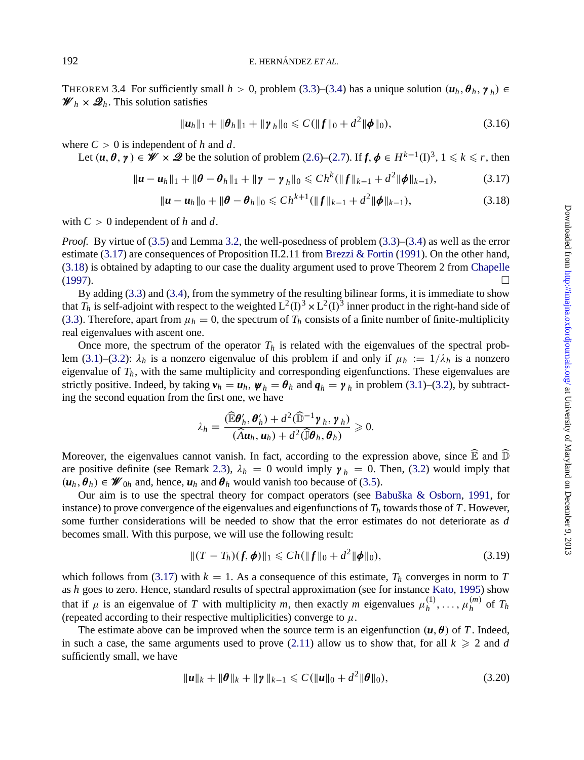<span id="page-12-0"></span>192 E. HERNÁND[EZ](#page-5-0) *ET A[L.](#page-5-0)* 

THEOREM 3.4 For sufficiently small  $h > 0$ , problem (3.3)–(3.4) has a unique solution  $(u_h, \theta_h, \gamma_h) \in$  $\mathscr{W}_h \times \mathscr{Q}_h$ . This solution satisfies

$$
\|\boldsymbol{u}_h\|_1 + \|\boldsymbol{\theta}_h\|_1 + \|\boldsymbol{\gamma}_h\|_0 \leqslant C(\|\boldsymbol{f}\|_0 + d^2 \|\boldsymbol{\phi}\|_0),
$$
\n(3.16)

where  $C > 0$  is inde[pen](#page-8-0)[d](#page-9-0)ent of h and d.

Let  $(u, \theta, \gamma) \in \mathscr{W} \times \mathscr{Q}$  be the solution of problem (2.6)[–\(2.7\).](#page-26-0) [If](#page-26-0)  $f, \phi \in H^{k-1}(\mathbb{D})^3$  $f, \phi \in H^{k-1}(\mathbb{D})^3$  $f, \phi \in H^{k-1}(\mathbb{D})^3$ ,  $1 \leq k \leq r$ [, then](#page-26-0)

$$
\|\boldsymbol{u}-\boldsymbol{u}_h\|_1+\|\boldsymbol{\theta}-\boldsymbol{\theta}_h\|_1+\|\boldsymbol{\gamma}-\boldsymbol{\gamma}_h\|_0\leq Ch^k(\|\boldsymbol{f}\|_{k-1}+d^2\|\boldsymbol{\phi}\|_{k-1}),
$$
\n(3.17)

$$
\|\boldsymbol{u}-\boldsymbol{u}_h\|_0+\|\boldsymbol{\theta}-\boldsymbol{\theta}_h\|_0\leqslant Ch^{k+1}(\|f\|_{k-1}+d^2\|\boldsymbol{\phi}\|_{k-1}),
$$
\n(3.18)

[with](#page-8-0)  $C > 0$  independent of h and d.

*Proof.* By virtue of (3.5) and Lemma 3.2, the well-posedness of problem (3.3)–(3.4) as well as the error estim[ate](#page-8-0) (3[.17\)](#page-8-0) are consequences of Proposition II.2.11 from Brezzi & Fortin (1991). On the other hand, (3.18) is obtained by adapting to our case the duality argument used to prove Theorem 2 from Chapelle  $(1997)$ .

By adding (3.3) and (3.4), from the symmetry of the resulting bilinear forms, it is immediate to show that  $T_h$  is self-adjoint with respect to the weighted  $L^2(I)^3 \times L^2(I)^3$  inner product in the right-hand side of (3.3). Therefore, apart from  $\mu_h = 0$ , the spectrum of  $T_h$  consists of a finite number of finite-multiplicity real eigenvalues with ascent one.

Once more, the spectrum of the operator  $T_h$  is related with the eigenvalues of the spectral problem (3.1)–(3.2):  $\lambda_h$  is a nonzero eigenvalue of this problem if and only if  $\mu_h := 1/\lambda_h$  is a nonzero eigenvalue of  $T_h$ , with the same [multi](#page-5-0)plicity and corresponding eigenfunctions. [The](#page-8-0)se eigenvalues are strictly positive. Indeed, [by](#page-26-0) taking  $v_h = u_h$ ,  $\psi_h = \theta_h$  and  $q_h = \gamma_h$  in [pr](#page-8-0)[oblem](#page-26-0) [\(3.1\)–\(3.2\),](#page-26-0) by [subtr](#page-26-0)acting the second equation from the first one, we have

$$
\lambda_h = \frac{(\widehat{\mathbb{E}} \boldsymbol{\theta}_h', \boldsymbol{\theta}_h') + d^2(\widehat{\mathbb{D}}^{-1} \boldsymbol{\gamma}_h, \boldsymbol{\gamma}_h)}{(\widehat{A} \boldsymbol{u}_h, \boldsymbol{u}_h) + d^2(\widehat{\mathbb{J}} \boldsymbol{\theta}_h, \boldsymbol{\theta}_h)} \geqslant 0.
$$

Moreover, the eigenvalues cannot vanish. In fact, according to the expression above, since  $\widehat{\mathbb{E}}$  and  $\widehat{\mathbb{D}}$ are positive definite (see Remark 2.3),  $\lambda_h = 0$  would imply  $\gamma_h = 0$ . Then, (3.2) would imply that  $(\boldsymbol{u}_h, \boldsymbol{\theta}_h) \in \mathcal{W}_{0h}$  and, hence,  $\boldsymbol{u}_h$  and  $\boldsymbol{\theta}_h$  would vanish too because of (3.5).

Our aim is to use the spectral theory for compact operators (see Babuška & [Osbor](#page-27-0)n, [199](#page-27-0)1, for instance) to prove convergence of the eigenvalues and eigenfunctions of  $T<sub>h</sub>$  towards those of  $T$ . However, some further considerations will be needed to show that the error estimates do not deteriorate as *d* becomes small. With this purpose, we will use the f[ollowi](#page-6-0)ng result:

$$
||(T - T_h)(f, \phi)||_1 \leq C h(||f||_0 + d^2 ||\phi||_0),
$$
\n(3.19)

which follows from (3.17) with  $k = 1$ . As a consequence of this estimate,  $T_h$  converges in norm to T as *h* goes to zero. Hence, standard results of spectral approximation (see for instance Kato, 1995) show that if  $\mu$  is an eigenvalue of *T* with multiplicity *m*, then exactly *m* eigenvalues  $\mu_h^{(1)}, \ldots, \mu_h^{(m)}$  of  $T_h$ (repeated according to their respective multiplicities) converge to  $\mu$ .

The estimate above can be improved when the source term is an eigenfunction  $(u, \theta)$  of T. Indeed, in such a case, the same arguments used to prove  $(2.11)$  allow us to show that, for all  $k \geqslant 2$  and *d* sufficiently small, we have

$$
\|\boldsymbol{u}\|_{k} + \|\boldsymbol{\theta}\|_{k} + \|\boldsymbol{\gamma}\|_{k-1} \leqslant C(\|\boldsymbol{u}\|_{0} + d^{2}\|\boldsymbol{\theta}\|_{0}),
$$
\n(3.20)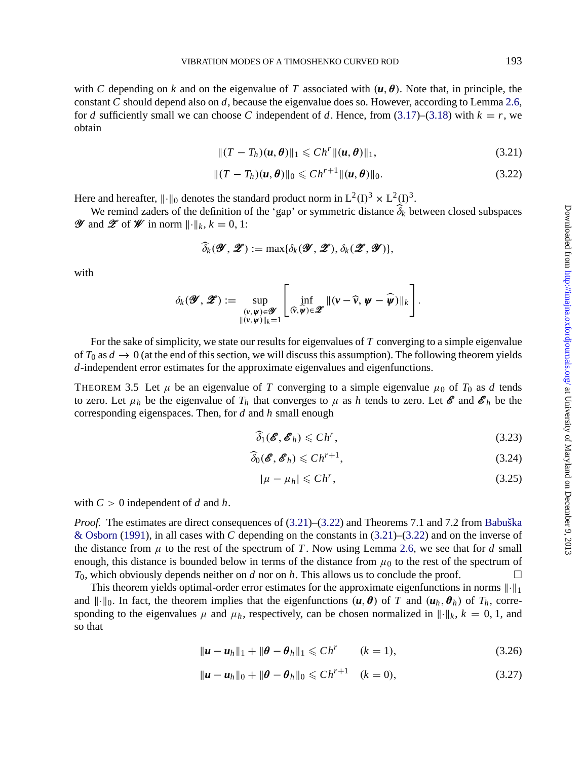<span id="page-13-0"></span>with *C* depending on *k* and on the eigenvalue of *T* associated with  $(u, \theta)$ . Note that, in principle, the constant *C* should depend also on *d*, because the eigenvalue does so. However, according to Lemma 2.6, for *d* sufficiently small we can choose *C* independent of *d*. Hence, from (3.17)–(3.18) with  $k = r$ , we obtain

$$
|| (T - T_h)(u, \boldsymbol{\theta}) ||_1 \leq C h^r ||(u, \boldsymbol{\theta})||_1,
$$
\n(3.21)

$$
||(T - T_h)(u, \boldsymbol{\theta})||_0 \leq C h^{r+1} ||(u, \boldsymbol{\theta})||_0.
$$
 (3.22)

Here and hereafter,  $\|\cdot\|_0$  denotes the standard product norm in L<sup>2</sup>(I)<sup>3</sup> × L<sup>2</sup>(I)<sup>3</sup>.

We remind zaders of the definition of the 'gap' or symmetric distance  $\delta_k$  between closed subspaces *Y* and *Z* of *W* in norm  $\|\cdot\|_k$ ,  $k = 0, 1$ :

$$
\widehat{\delta}_k(\mathscr{Y},\mathscr{Z}):=\max{\{\delta_k(\mathscr{Y},\mathscr{Z}),\delta_k(\mathscr{Z},\mathscr{Y})\}},
$$

with

$$
\delta_k(\mathscr{Y},\mathscr{Z}):=\sup_{\substack{(\mathbf{r},\mathbf{\boldsymbol{\psi}})\in\mathscr{Y}\\ \|\mathbf{r},\mathbf{\boldsymbol{\psi}})\|_k=1}}\left[\inf_{(\widehat{\mathbf{r}},\widehat{\mathbf{\boldsymbol{\psi}}})\in\mathscr{Z}}\|\mathbf{r}-\widehat{\mathbf{r}},\mathbf{\boldsymbol{\psi}}-\widehat{\mathbf{\boldsymbol{\psi}}}\|\|_k\right].
$$

For the sake of simplicity, we state our results for eigenvalues of *T* converging to a simple eigenvalue of  $T_0$  as  $d \to 0$  (at the end of this section, we will discuss this assumption). The following theorem yields *d*-independent error estimates for the approximate eigenvalues and eigenfunctions.

THEOREM 3.5 Let  $\mu$  be an eigenvalue of *T* converging to a simple eigenvalue  $\mu_0$  of  $T_0$  as *d* tends to zero. Let  $\mu_h$  be the eigenvalue of  $T_h$  that converges to  $\mu$  as h tends to zero. Let  $\mathcal{E}$  and  $\mathcal{E}_h$  be the corresponding eigenspaces. Then, for *d* and *h* small enough

$$
\widehat{\delta}_1(\boldsymbol{\mathscr{E}},\boldsymbol{\mathscr{E}}_h) \leqslant Ch^r,\tag{3.23}
$$

$$
\widehat{\delta}_0(\boldsymbol{\mathscr{E}},\boldsymbol{\mathscr{E}}_h) \leqslant Ch^{r+1},\tag{3.24}
$$

$$
|\mu - \mu_h| \leq C h^r,
$$
\n(3.25)

with  $C > 0$  independent of *d* and *h*.

*Proof.* The estimates are direct consequences of  $(3.21)$ – $(3.22)$  and Theorems 7.1 and 7.2 from Babuška & Osborn (1991), in all cases with *C* depending on the constants in (3.21)–(3.22) and on the inverse of the distance from  $\mu$  to the rest of the spectrum of *T*. Now using Lemma 2.6, we see that for *d* small enough, this distance is bounded below in terms of the distance from  $\mu_0$  to the rest of the spectrum of  $T_0$ , which obviously depends neither on *d* nor on *h*. This allows us to conclude the proof.

This theorem yields optimal-order error estimates for the approximate eigenfunctions in norms  $\|\cdot\|_1$ and  $\|\cdot\|_0$ . In fact, the theorem implies that the eigenfunctions  $(\boldsymbol{u}, \boldsymbol{\theta})$  of *T* and  $(\boldsymbol{u}_h, \boldsymbol{\theta}_h)$  of  $T_h$ , corresponding to the eigenvalues  $\mu$  and  $\mu_h$ , respectively, can be chosen normalized in  $\|\cdot\|_k$ ,  $k = 0, 1$ , and so that

$$
\|\boldsymbol{u}-\boldsymbol{u}_h\|_1+\|\boldsymbol{\theta}-\boldsymbol{\theta}_h\|_1\leqslant Ch^r \qquad (k=1),
$$
\n(3.26)

$$
\|\boldsymbol{u}-\boldsymbol{u}_h\|_0+\|\boldsymbol{\theta}-\boldsymbol{\theta}_h\|_0\leqslant Ch^{r+1}\quad (k=0),\tag{3.27}
$$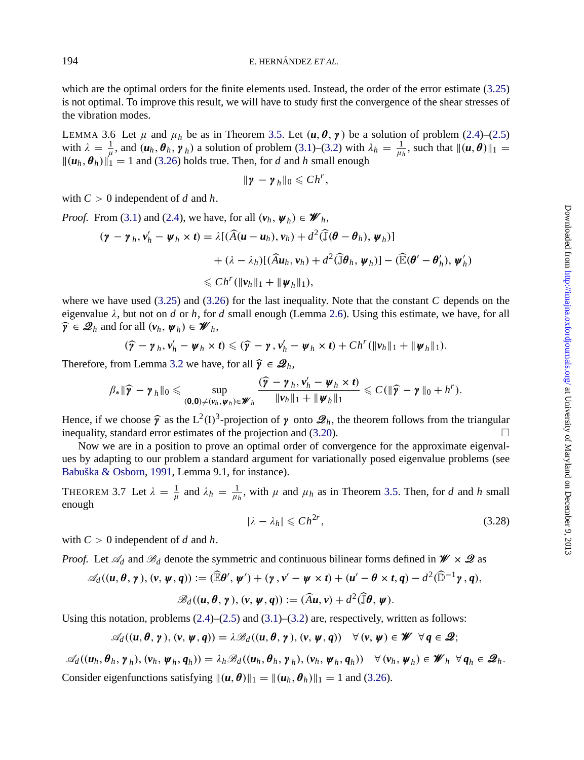which are the optimal orders for the finite elements used. Instead, the order of the error estimate (3.25) is not optimal. To improve this result, we will have to study first the convergence of the shear stresses of the vibration [mod](#page-8-0)es.

LEMMA 3.6 Let  $\mu$  and  $\mu_h$  be as in Theorem 3.5. Let  $(u, \theta, \gamma)$  be a solution of problem (2.4)–(2.5) with  $\lambda = \frac{1}{\mu}$ , and  $(u_h, \theta_h, \gamma_h)$  a solution of problem (3.1)–(3.2) with  $\lambda_h = \frac{1}{\mu_h}$ , such that  $||(u, \theta)||_1 =$  $\|(u_h, \theta_h)\|_1 = 1$  and (3.26) holds true. Then, for *d* and *h* small enough

$$
\|\boldsymbol{\gamma}-\boldsymbol{\gamma}_h\|_0\leqslant Ch^r,
$$

wit[h](#page-13-0)  $C > 0$  independ[ent of](#page-13-0) d and h.

*Proof.* From (3.1) and (2.4), we have, for all  $(v_h, \psi_h) \in \mathcal{W}_h$ ,

$$
(\boldsymbol{\gamma} - \boldsymbol{\gamma}_h, \boldsymbol{v}'_h - \boldsymbol{\psi}_h \times \boldsymbol{t}) = \lambda [(\widehat{A}(\boldsymbol{u} - \boldsymbol{u}_h), \boldsymbol{v}_h) + d^2 (\widehat{J}(\boldsymbol{\theta} - \boldsymbol{\theta}_h), \boldsymbol{\psi}_h)]
$$
  
+  $(\lambda - \lambda_h)[(\widehat{A} \boldsymbol{u}_h, \boldsymbol{v}_h) + d^2 (\widehat{J} \boldsymbol{\theta}_h, \boldsymbol{\psi}_h)] - (\widehat{\mathbb{E}}(\boldsymbol{\theta}' - \boldsymbol{\theta}'_h), \boldsymbol{\psi}'_h)$   
<  $\leq Ch^r (\|\boldsymbol{v}_h\|_1 + \|\boldsymbol{\psi}_h\|_1),$ 

where we have used (3.25) and (3.26) for the last inequality. Note that the constant *C* depends on the eigenvalue  $\lambda$ , but not on *d* or *h*, for *d* small enough (Lemma 2.6). Using this estimate, we have, for all  $\widehat{\boldsymbol{\gamma}} \in \mathcal{Q}_h$  and for all  $(\boldsymbol{v}_h, \boldsymbol{\psi}_h) \in \mathcal{W}_h$ ,

$$
(\widehat{\mathbf{y}} - \mathbf{y}_h, \mathbf{v}_h' - \mathbf{\psi}_h \times \mathbf{t}) \leqslant (\widehat{\mathbf{y}} - \mathbf{y}, \mathbf{v}_h' - \mathbf{\psi}_h \times \mathbf{t}) + Ch^r(||\mathbf{v}_h||_1 + ||\mathbf{\psi}_h||_1).
$$

[Therefore,](#page-26-0) from Le[mma](#page-26-0) 3.2 we have, for all  $\hat{\mathbf{y}} \in \mathcal{Q}_h$ ,

$$
\beta_* \|\widehat{\boldsymbol{\gamma}} - \boldsymbol{\gamma}_h\|_0 \leqslant \sup_{(\mathbf{0},\mathbf{0}) \neq (\boldsymbol{\nu}_h,\boldsymbol{\psi}_h) \in \mathscr{W}_h} \frac{(\widehat{\boldsymbol{\gamma}} - \boldsymbol{\gamma}_h,\boldsymbol{\nu}_h' - \boldsymbol{\psi}_h \times \boldsymbol{t})}{\|\boldsymbol{\nu}_h\|_1 + \|\boldsymbol{\psi}_h\|_1} \leqslant C(\|\widehat{\boldsymbol{\gamma}} - \boldsymbol{\gamma}\|_0 + h^r).
$$

Hence, if we choose  $\hat{\mathbf{y}}$  as the L<sup>2</sup>(I)<sup>3</sup>-projection of  $\mathbf{y}$  onto  $\mathcal{Q}_h$ , the theorem follows from the triangular inequality, standard error estimates of the projection and (3.20). inequality, standard error estimates of the projection and (3.20).

Now we are in a position to prove an optimal order of convergence for the approximate eigenvalues by adapting to our problem a standard argument for variationally posed eigenvalue problems (see Babuška & Osborn, 1991, Lemma 9.1, for instance).

THEOREM 3.7 Let  $\lambda = \frac{1}{\mu}$  and  $\lambda_h = \frac{1}{\mu_h}$ , with  $\mu$  and  $\mu_h$  as in Theorem 3.5. Then, for *d* and *h* small enough

$$
|\lambda - \lambda_h| \leqslant Ch^{2r},\tag{3.28}
$$

with  $C > 0$  independent of *d* and *h*.

*Proof.* Let  $\mathscr{A}_d$  and  $\mathscr{B}_d$  denote the symmetric and continuous bilinear forms defined in  $\mathscr{W} \times \mathscr{Q}$  as

$$
\mathscr{A}_d((u,\theta,\gamma),(v,\psi,q)) := (\widehat{\mathbb{E}}\theta',\psi') + (\gamma,v'-\psi\times t) + (u'-\theta\times t,q) - d^2(\widehat{\mathbb{D}}^{-1}\gamma,q),
$$
  

$$
\mathscr{B}_d((u,\theta,\gamma),(v,\psi,q)) := (\widehat{A}u,v) + d^2(\widehat{\mathbb{J}}\theta,\psi).
$$

Using this notation, problems  $(2.4)$ – $(2.5)$  and  $(3.1)$ – $(3.2)$  are, respectively, written as follows:

$$
\mathscr{A}_d((u,\theta,\gamma),(v,\psi,q))=\lambda\mathscr{B}_d((u,\theta,\gamma),(v,\psi,q))\quad\forall (v,\psi)\in\mathscr{W}\quad\forall q\in\mathscr{Q};
$$

 $\mathscr{A}_d((u_h, \theta_h, \gamma_h), (v_h, \psi_h, q_h)) = \lambda_h \mathscr{B}_d((u_h, \theta_h, \gamma_h), (v_h, \psi_h, q_h)) \quad \forall (v_h, \psi_h) \in \mathscr{W}_h \ \forall q_h \in \mathscr{Q}_h.$ Consider eigenfunctions satisfying  $\|(u, \theta)\|_1 = \|(u_h, \theta_h)\|_1 = 1$  and (3.26).

<span id="page-14-0"></span>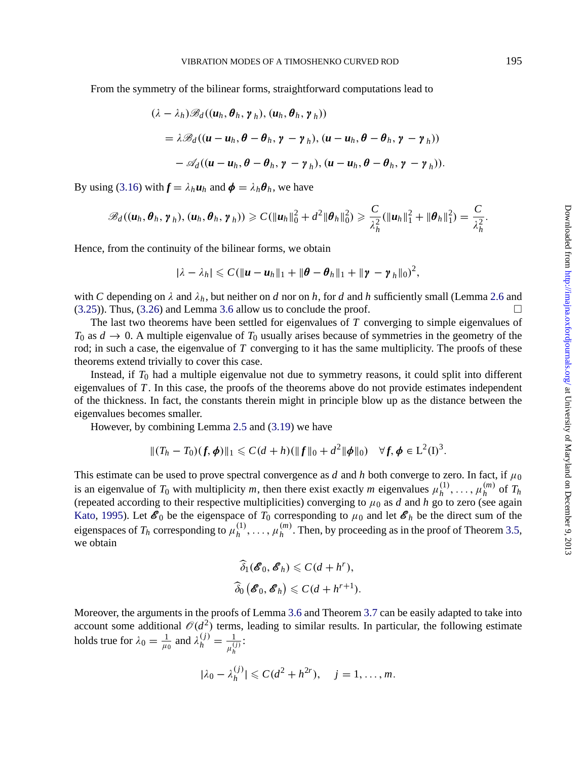From t[he](#page-12-0) [sy](#page-12-0)mmetry of the bilinear forms, straightforward computations lead to

$$
(\lambda - \lambda_h) \mathscr{B}_d((u_h, \theta_h, \gamma_h), (u_h, \theta_h, \gamma_h))
$$
  
=  $\lambda \mathscr{B}_d((u - u_h, \theta - \theta_h, \gamma - \gamma_h), (u - u_h, \theta - \theta_h, \gamma - \gamma_h))$   
 $- \mathscr{A}_d((u - u_h, \theta - \theta_h, \gamma - \gamma_h), (u - u_h, \theta - \theta_h, \gamma - \gamma_h)).$ 

By using (3.16) with  $f = \lambda_h u_h$  and  $\phi = \lambda_h \theta_h$ , we have

$$
\mathscr{B}_{d}((\boldsymbol{u}_h, \boldsymbol{\theta}_h, \boldsymbol{\gamma}_h), (\boldsymbol{u}_h, \boldsymbol{\theta}_h, \boldsymbol{\gamma}_h)) \geqslant C(\|\boldsymbol{u}_h\|_0^2 + d^2\|\boldsymbol{\theta}_h\|_0^2) \geqslant \frac{C}{\lambda_h^2}(\|\boldsymbol{u}_h\|_1^2 + \|\boldsymbol{\theta}_h\|_1^2) = \frac{C}{\lambda_h^2}.
$$

Hence, from the continuity of the bilinear forms, we obtain

$$
|\lambda - \lambda_h| \leqslant C(\|u - u_h\|_1 + \|\boldsymbol{\theta} - \boldsymbol{\theta}_h\|_1 + \|\boldsymbol{\gamma} - \boldsymbol{\gamma}_h\|_0)^2,
$$

with *C* depending on  $\lambda$  and  $\lambda_h$ , but neither on *d* nor on *h*, for *d* and *h* sufficiently small (Lemma 2.6 and  $(3.25)$ ). Thus,  $(3.26)$  and Lemma 3.6 allow us to conclude the proof.

The last two theorems have bee[n se](#page-6-0)ttled [for e](#page-12-0)igenvalues of *T* converging to simple eigenvalues of  $T_0$  as  $d \to 0$ . A multiple eigenvalue of  $T_0$  usually arises because of symmetries in the geometry of the rod; in such a case, the eigenvalue of *T* converging to it has the same multiplicity. The proofs of these theorems extend trivially to cover this case.

Instead, if *T*<sup>0</sup> had a multiple eigenvalue not due to symmetry reasons, it could split into different eigenvalues of *T* . In this case, the proofs of the theorems above do not provide estimates independent of the thickness. In fact, the constants therein might in principle blow up as the distance between the [eigenvalues](#page-27-0) becomes smaller.

However, by combining Lemma 2.5 and (3.19) we have

$$
||(T_h - T_0)(f, \phi)||_1 \leq C(d+h)(||f||_0 + d^2||\phi||_0) \quad \forall f, \phi \in L^2(I)^3.
$$

This estimate can be used to prove spectral convergence as *d* and *h* both converge to zero. In fact, if  $\mu_0$ is an eigenvalue of  $T_0$  with multiplicity  $m$ , then there exist exactly  $m$  eigenvalues  $\mu_h^{(1)}, \ldots, \mu_h^{(m)}$  of  $T_h$ (repeated according to their respective multiplicities) converging to  $\mu_0$  as *d* and *h* go to zero (see again Kato, 1995). Let  $\mathscr{E}_0$  be the eigenspace of  $T_0$  cor[resp](#page-14-0)onding to  $\mu_0$  [an](#page-14-0)d let  $\mathscr{E}_h$  be the direct sum of the eigenspaces of  $T_h$  corresponding to  $\mu_h^{(1)}, \ldots, \mu_h^{(m)}$ . Then, by proceeding as in the proof of Theorem 3.5, we obtain

$$
\widehat{\delta}_1(\mathscr{E}_0, \mathscr{E}_h) \leqslant C(d + h^r),
$$
  

$$
\widehat{\delta}_0(\mathscr{E}_0, \mathscr{E}_h) \leqslant C(d + h^{r+1}).
$$

Moreover, the arguments in the proofs of Lemma 3.6 and Theorem 3.7 can be easily adapted to take into account some additional  $\mathcal{O}(d^2)$  terms, leading to similar results. In particular, the following estimate holds true for  $\lambda_0 = \frac{1}{\mu_0}$  and  $\lambda_h^{(j)} = \frac{1}{\mu_h^{(j)}}$ :

$$
|\lambda_0 - \lambda_h^{(j)}| \leqslant C(d^2 + h^{2r}), \quad j = 1, \ldots, m.
$$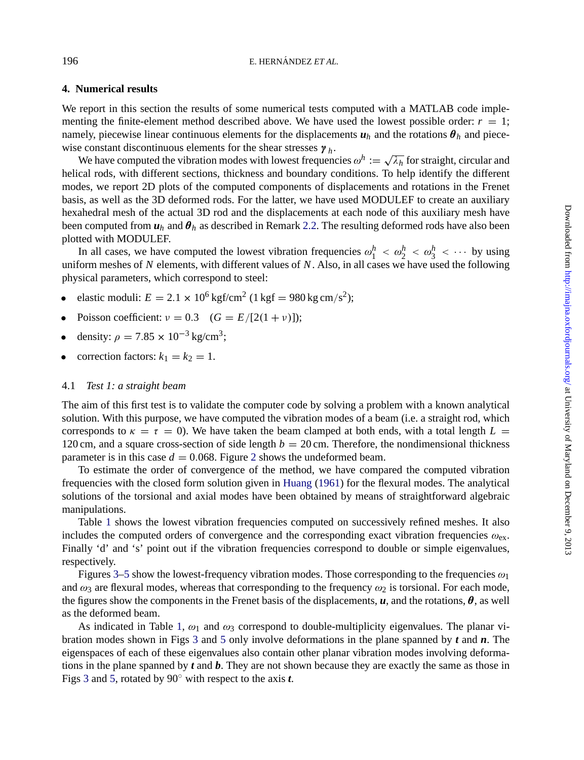### **4. Numerical results**

We report in this section the results of some numerical tests computed with a MATLAB code imple-menting the finite-element method described above. [We h](#page-4-0)ave used the lowest possible order:  $r = 1$ ; namely, piecewise linear continuous elements for the displacements  $u_h$  and the rotations  $\theta_h$  and piecewise constant discontinuous elements for the shear stresses γ *<sup>h</sup>*.

We have computed the vibration modes with lowest frequencies  $\omega^h := \sqrt{\lambda_h}$  for straight, circular and helical rods, with different sections, thickness and boundary conditions. To help identify the different modes, we report 2D plots of the computed components of displacements and rotations in the Frenet basis, as well as the 3D deformed rods. For the latter, we have used MODULEF to create an auxiliary hexahedral mesh of the actual 3D rod and the displacements at each node of this auxiliary mesh have been computed from  $u_h$  and  $\theta_h$  as described in Remark 2.2. The resulting deformed rods have also been plotted with MODULEF.

In all cases, we have computed the lowest vibration frequencies  $\omega_1^h < \omega_2^h < \omega_3^h < \cdots$  by using uniform meshes of *N* elements, with different values of *N*. Also, in all cases we have used the following physical parameters, which correspond to steel:

- elastic moduli:  $E = 2.1 \times 10^6 \text{ kgf/cm}^2 (1 \text{ kgf} = 980 \text{ kg cm/s}^2);$
- Poisson coefficient:  $v = 0.3$  ( $G = E/[2(1 + v)]$ );
- density:  $\rho = 7.85 \times 10^{-3} \text{ kg/cm}^3$ ;
- correction factors:  $k_1 = k_2 = 1$ .

#### 4.1 *Test 1: a straight beam*

The aim of this first test is to validate the computer code by solving a problem with a known analytical solution. [W](#page-17-0)ith this purpose, we have computed the vibration modes of a beam (i.e. a straight rod, which corresponds to  $\kappa = \tau = 0$ ). We have taken the beam clamped at both ends, with a total length  $L =$ 120 cm, and a square cross-section of side length  $b = 20$  cm. Therefore, the nondimensional thickness parameter is in this case  $d = 0.068$ . Figure 2 shows the undeformed beam.

To esti[ma](#page-18-0)[te](#page-19-0) the order of convergence of the method, we have compared the computed vibration frequencies with the closed form solution given in Huang (1961) for the flexural modes. The analytical solutions of the torsional and axial modes have been obtained by means of straightforward algebraic manipulations.

Table 1 shows the lo[we](#page-17-0)st vibration frequencies computed on successively refined meshes. It also includes the computed [o](#page-18-0)rders of co[nv](#page-19-0)ergence and the corresponding exact vibration frequencies  $\omega_{\rm ex}$ . Finally 'd' and 's' point out if the vibration frequencies correspond to double or simple eigenvalues, respectively.

[Fig](#page-18-0)ures [3](#page-19-0)–5 show the lowest-frequency vibration modes. Those corresponding to the frequencies  $\omega_1$ and  $\omega_3$  are flexural modes, whereas that corresponding to the frequency  $\omega_2$  is torsional. For each mode, the figures show the components in the Frenet basis of the displacements,  $\bf{u}$ , and the rotations,  $\bf{\theta}$ , as well as the deformed beam.

As indicated in Table 1,  $\omega_1$  and  $\omega_3$  correspond to double-multiplicity eigenvalues. The planar vibration modes shown in Figs 3 and 5 only involve deformations in the plane spanned by *t* and *n*. The eigenspaces of each of these eigenvalues also contain other planar vibration modes involving deformations in the plane spanned by *t* and *b*. They are not shown because they are exactly the same as those in Figs 3 and 5, rotated by 90◦ with respect to the axis *t*.

<span id="page-16-0"></span>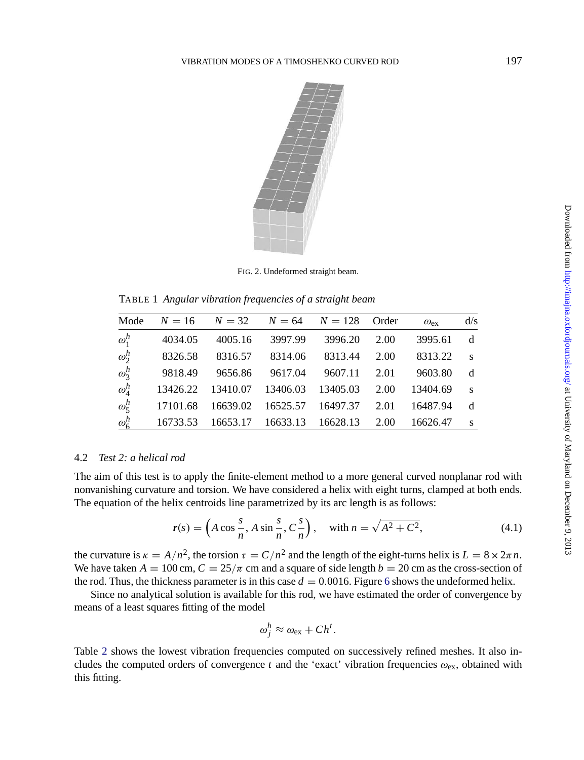<span id="page-17-0"></span>

FIG. 2. Undeformed straight beam.

TABLE 1 *Angular vibration frequencies of a straight beam*

|                   | Mode $N = 16$ $N = 32$ $N = 64$ $N = 128$ Order |                                          |         |          |      | $\omega_{\rm ex}$ | d/s          |
|-------------------|-------------------------------------------------|------------------------------------------|---------|----------|------|-------------------|--------------|
| $\omega_1^h$      | 4034.05                                         | 4005.16                                  | 3997.99 | 3996.20  | 2.00 | 3995.61           | d            |
| $\omega_2^h$      | 8326.58                                         | 8316.57                                  | 8314.06 | 8313.44  | 2.00 | 8313.22           | S            |
| $\omega_3^h$      | 9818.49                                         | 9656.86                                  | 9617.04 | 9607.11  | 2.01 | 9603.80           | d            |
| $\omega_4^h$      |                                                 | 13426.22  13410.07  13406.03             |         | 13405.03 | 2.00 | 13404.69          | $\mathbf{s}$ |
| $\omega^h_{\leq}$ |                                                 | 17101.68 16639.02 16525.57 16497.37 2.01 |         |          |      | 16487.94          | d            |
| $\omega_6^h$      |                                                 | 16733.53 16653.17 16633.13 16628.13      |         |          | 2.00 | 16626.47          | $\mathbf{s}$ |

### 4.2 *Test 2: a helical rod*

The aim of this test is to apply the finite-element method to a more ge[ne](#page-19-0)ral curved nonplanar rod with nonvanishing curvature and torsion. We have considered a helix with eight turns, clamped at both ends. The equation of the helix centroids line parametrized by its arc length is as follows:

$$
r(s) = \left(A\cos\frac{s}{n}, A\sin\frac{s}{n}, C\frac{s}{n}\right), \quad \text{with } n = \sqrt{A^2 + C^2},\tag{4.1}
$$

the cu[rv](#page-19-0)ature is  $\kappa = A/n^2$ , the torsion  $\tau = C/n^2$  and the length of the eight-turns helix is  $L = 8 \times 2\pi n$ . We have taken  $A = 100$  cm,  $C = 25/\pi$  cm and a square of side length  $b = 20$  cm as the cross-section of the rod. Thus, the thickness parameter is in this case  $d = 0.0016$ . Figure 6 shows the undeformed helix.

Since no analytical solution is available for this rod, we have estimated the order of convergence by means of a least squares fitting of the model

$$
\omega_j^h \approx \omega_{\rm ex} + Ch^t.
$$

Table 2 shows the lowest vibration frequencies computed on successively refined meshes. It also includes the computed orders of convergence  $t$  and the 'exact' vibration frequencies  $\omega_{\text{ex}}$ , obtained with this fitting.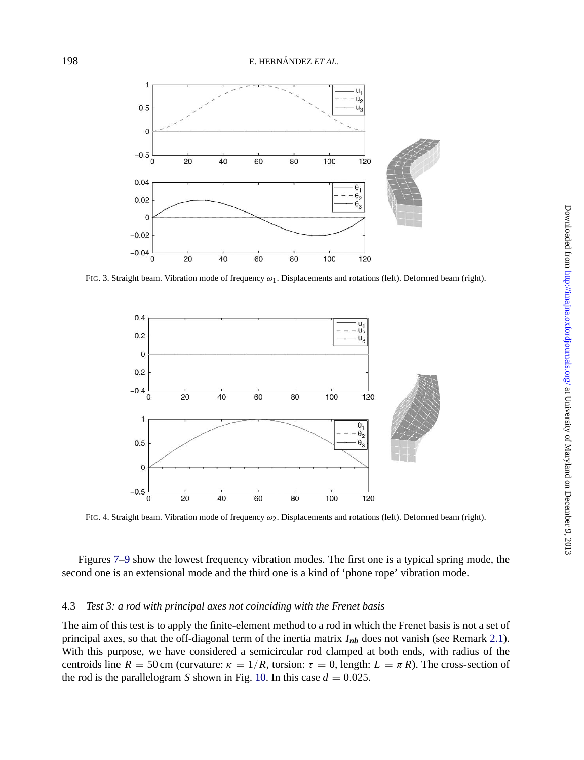<span id="page-18-0"></span>



FIG. 3. Straight beam. Vibration mode of frequency  $\omega_1$ . Displacements and rotations (left). Deformed beam (right).



FIG. 4. Straight beam. Vibration mode of frequency ω2. Displacements and rotations (left). Deformed beam (right).

Figures 7–9 show the lowest frequency vibration modes. The first one is a typical spring mode, the second one is an extensional mode and the t[hird](#page-21-0) one is a kind of 'phone rope' vibration mode.

### 4.3 *Test 3: a rod with principal axes not coinciding with the Frenet basis*

The aim of this test is to apply the finite-element method to a rod in which the Frenet basis is not a set of principal axes, so that the off-diagonal term of the inertia matrix  $I_{nb}$  does not vanish (see Remark 2.1). With this purpose, we have considered a semicircular rod clamped at both ends, with radius of the centroids line  $R = 50$  cm (curvature:  $\kappa = 1/R$ , torsion:  $\tau = 0$ , length:  $L = \pi R$ ). The cross-section of the rod is the parallelogram *S* shown in Fig. 10. In this case  $d = 0.025$ .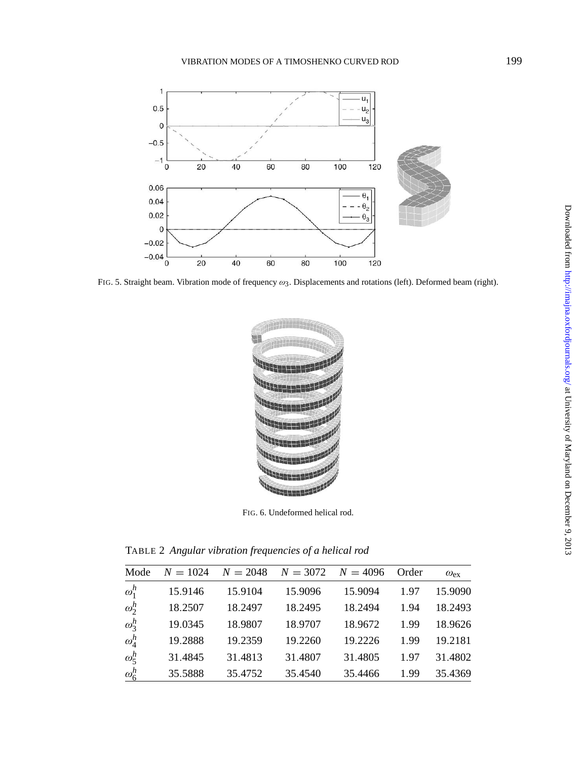

<span id="page-19-0"></span>

FIG. 5. Straight beam. Vibration mode of frequency  $\omega_3$ . Displacements and rotations (left). Deformed beam (right).



FIG. 6. Undeformed helical rod.

TABLE 2 *Angular vibration frequencies of a helical rod*

| Mode         | $N = 1024$ | $N = 2048$ | $N = 3072$ | $N = 4096$ | Order | $\omega_{\rm ex}$ |
|--------------|------------|------------|------------|------------|-------|-------------------|
| $\omega_1^h$ | 15.9146    | 15.9104    | 15.9096    | 15.9094    | 1.97  | 15.9090           |
| $\omega_2^h$ | 18.2507    | 18.2497    | 18.2495    | 18.2494    | 1.94  | 18.2493           |
| $\omega_3^h$ | 19.0345    | 18.9807    | 18.9707    | 18.9672    | 1.99  | 18.9626           |
| $\omega_4^h$ | 19.2888    | 19.2359    | 19.2260    | 19.2226    | 1.99  | 19.2181           |
| $\omega_5^h$ | 31.4845    | 31.4813    | 31.4807    | 31.4805    | 1.97  | 31.4802           |
| $\omega_6^h$ | 35.5888    | 35.4752    | 35.4540    | 35.4466    | 1.99  | 35.4369           |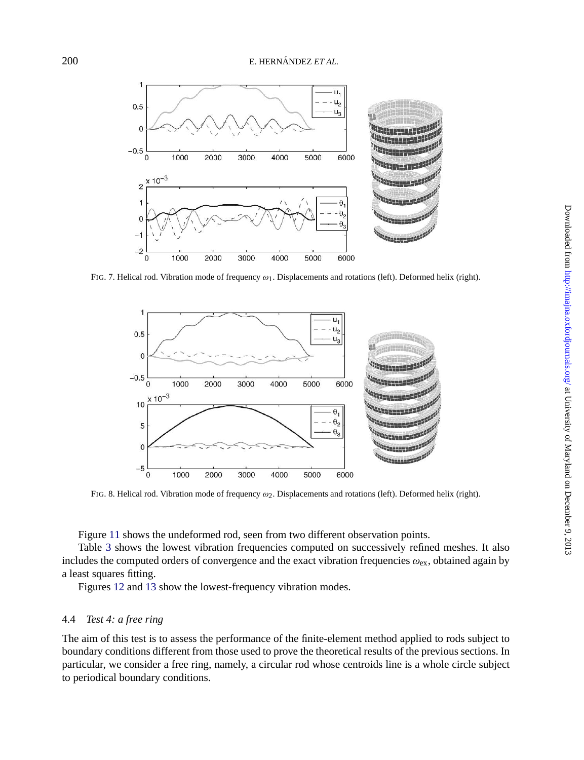

FIG. 7. Helical rod. Vibration mode of frequency  $\omega_1$ . Displacements and rotations (left). Deformed helix (right).



FIG. 8. Helical rod. Vibration mode of frequency  $\omega_2$ . Displacements and rotations (left). Deformed helix (right).

Figure 11 shows the undeformed rod, seen from two different observation points.

Table 3 shows the lowest vibration frequencies computed on successively refined meshes. It also includes the computed orders of convergence and the exact vibration frequencies  $\omega_{\rm ex}$ , obtained again by a least squares fitting.

Figures 12 and 13 show the lowest-frequency vibration modes.

### 4.4 *Test 4: a free ring*

The aim of this test is to assess the performance of the finite-element method applied to rods subject to boundary conditions different from those used to prove the theoretical results of the previous sections. In particular, we consider a free ring, namely, a circular rod whose centroids line is a whole circle subject to periodical boundary conditions.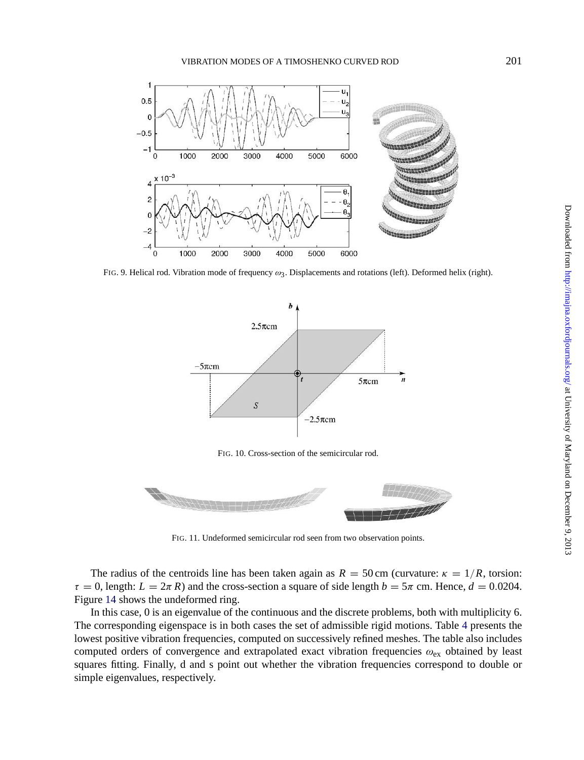VIBRATION MODES OF A TIMOSHENKO CURVED ROD 201

<span id="page-21-0"></span>

FIG. 9. Helical rod. Vibration mode of frequency ω3. Displacements and rotations (left). Deformed helix (right).



FIG. 11. Undeformed semicircular rod seen from two observation points.

The radius of the centroids line has been taken again as  $R = 50$  cm (curvature:  $\kappa = 1/R$ , torsion:  $\tau = 0$ , length:  $L = 2\pi R$ ) and the cross-section a square of side length  $b = 5\pi$  cm. Hence,  $d = 0.0204$ . Figure 14 shows the undeformed ring.

In this case, 0 is an eigenvalue of the continuous and the discrete problems, both with multiplicity 6. The corresponding eigenspace is in both cases the set of admissible rigid motions. Table 4 presents the lowest positive vibration frequencies, computed on successively refined meshes. The table also includes computed orders of convergence and extrapolated exact vibration frequencies  $\omega_{\rm ex}$  obtained by least squares fitting. Finally, d and s point out whether the vibration frequencies correspond to double or simple eigenvalues, respectively.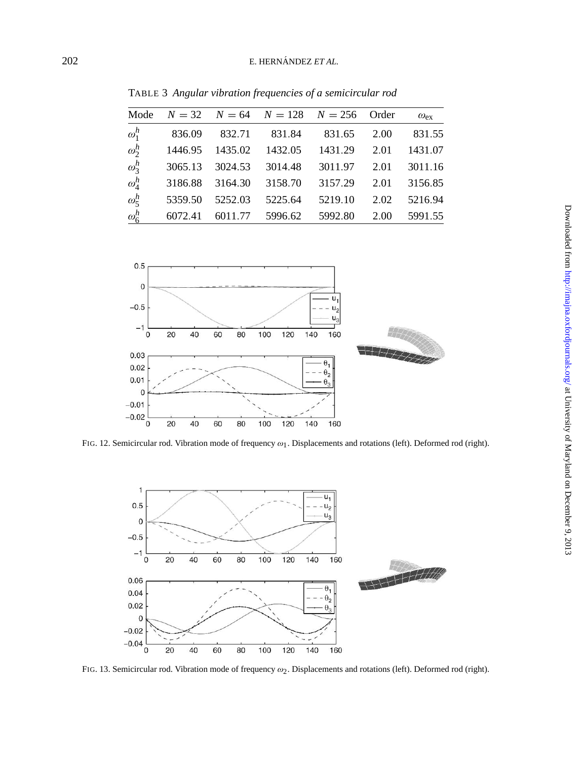TABLE 3 *Angular vibration frequencies of a semicircular rod*

| Mode         |         |         | $N = 32$ $N = 64$ $N = 128$ $N = 256$ |         | Order | $\omega_{\rm ex}$ |
|--------------|---------|---------|---------------------------------------|---------|-------|-------------------|
| $\omega_1^h$ | 836.09  | 832.71  | 831.84                                | 831.65  | 2.00  | 831.55            |
| $\omega_2^h$ | 1446.95 | 1435.02 | 1432.05                               | 1431.29 | 2.01  | 1431.07           |
| $\omega_3^h$ | 3065.13 | 3024.53 | 3014.48                               | 3011.97 | 2.01  | 3011.16           |
| $\omega_4^h$ | 3186.88 | 3164.30 | 3158.70                               | 3157.29 | 2.01  | 3156.85           |
| $\omega_5^h$ | 5359.50 | 5252.03 | 5225.64                               | 5219.10 | 2.02  | 5216.94           |
| $\omega_6^h$ | 6072.41 | 6011.77 | 5996.62                               | 5992.80 | 2.00  | 5991.55           |



FIG. 12. Semicircular rod. Vibration mode of frequency  $\omega_1$ . Displacements and rotations (left). Deformed rod (right).



FIG. 13. Semicircular rod. Vibration mode of frequency ω2. Displacements and rotations (left). Deformed rod (right).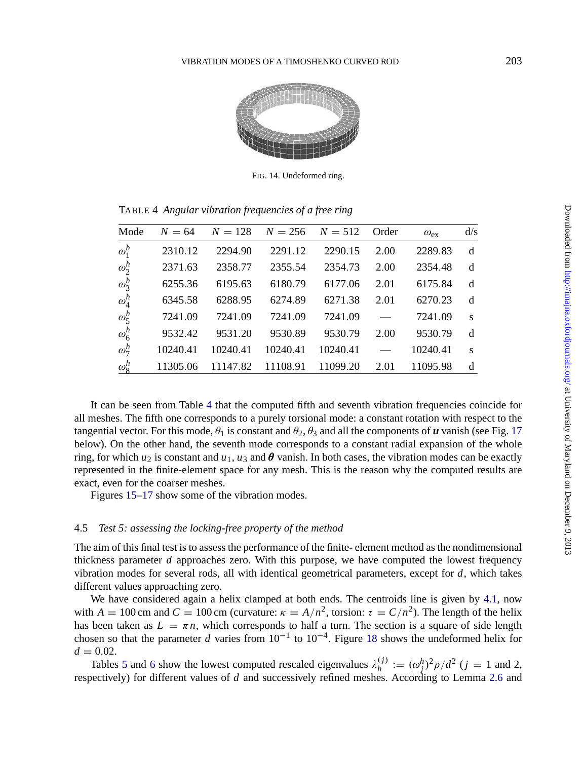#### VIBRATION MODES OF A TIMOSHENKO CURVED ROD 203



FIG. 14. Undeformed ring.

TABLE 4 *Angular vibration frequencies of a free ring*

| Mode         | $N = 64$ | $N = 128$ | $N = 256$ | $N = 512$ | Order                    | $\omega_{\rm ex}$ | d/s |
|--------------|----------|-----------|-----------|-----------|--------------------------|-------------------|-----|
| $\omega_1^h$ | 2310.12  | 2294.90   | 2291.12   | 2290.15   | 2.00                     | 2289.83           | d   |
| $\omega_2^h$ | 2371.63  | 2358.77   | 2355.54   | 2354.73   | 2.00                     | 2354.48           | d   |
| $\omega_3^h$ | 6255.36  | 6195.63   | 6180.79   | 6177.06   | 2.01                     | 6175.84           | d   |
| $\omega_4^h$ | 6345.58  | 6288.95   | 6274.89   | 6271.38   | 2.01                     | 6270.23           | d   |
| $\omega^h_5$ | 7241.09  | 7241.09   | 7241.09   | 7241.09   | $\overline{\phantom{0}}$ | 7241.09           | S   |
| $\omega_6^h$ | 9532.42  | 9531.20   | 9530.89   | 9530.79   | 2.00                     | 9530.79           | d   |
| $\omega_7^h$ | 10240.41 | 10240.41  | 10240.41  | 10240.41  | $\overline{\phantom{0}}$ | 10240.41          | S   |
| $\omega_8^h$ | 11305.06 | 11147.82  | 11108.91  | 11099.20  | 2.01                     | 11095.98          | d   |

It can be seen from Table 4 that the computed fifth and seventh vibration frequencies coincide for all meshes. The fifth one corresponds to a purely torsional mode: a constant rotation with respect to the tangential vector. For this mode,  $\theta_1$  is constant and  $\theta_2$ ,  $\theta_3$  and all the components of *u* vanish (see Fig. 17) below). On the other hand, the seventh mode corresponds to a constant radial expansion of the whole ring, for which  $u_2$  is constant and  $u_1$ ,  $u_3$  and  $\theta$  vanish. In both cases, the vibration modes can be exactly represented in the finite-element space for any mesh. This is the reason why the computed results are exact, even for the coarser meshes.

Figures 15–17 show some of the vibration modes.

#### 4.5 *Test 5: assessing the locking-free property of the method*

The aim of this final test is to assess the performance of the finite- element method as the nondimensional thickness [pa](#page-25-0)ram[ete](#page-25-0)r *d* approaches zero. With this purpose, we have computed the lowest frequency vibration modes for several rods, all with identical geometrical parameters, except for *d*, whi[ch ta](#page-7-0)kes different values approaching zero.

We have considered again a helix clamped at both ends. The centroids line is given by 4.1, now with  $A = 100$  cm and  $C = 100$  cm (curvature:  $\kappa = A/n^2$ , torsion:  $\tau = C/n^2$ ). The length of the helix has been taken as  $L = \pi n$ , which corresponds to half a turn. The section is a square of side length chosen so that the parameter *d* varies from  $10^{-1}$  to  $10^{-4}$ . Figure 18 shows the undeformed helix for  $d = 0.02$ .

Tables 5 and 6 show the lowest computed rescaled eigenvalues  $\lambda_h^{(j)} := (\omega_j^h)^2 \rho / d^2$  (*j* = 1 and 2, respectively) for different values of *d* and successively refined meshes. According to Lemma 2.6 and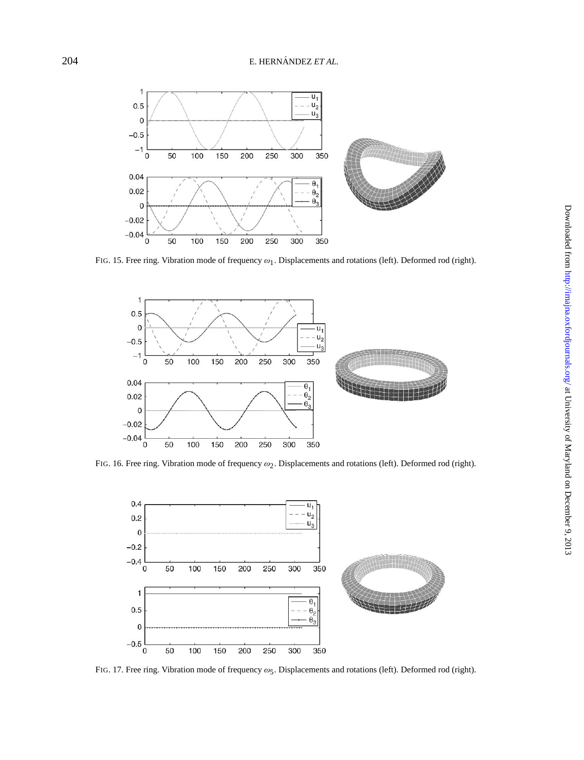

FIG. 15. Free ring. Vibration mode of frequency  $\omega_1$ . Displacements and rotations (left). Deformed rod (right).



FIG. 16. Free ring. Vibration mode of frequency  $\omega_2$ . Displacements and rotations (left). Deformed rod (right).



FIG. 17. Free ring. Vibration mode of frequency  $\omega_5$ . Displacements and rotations (left). Deformed rod (right).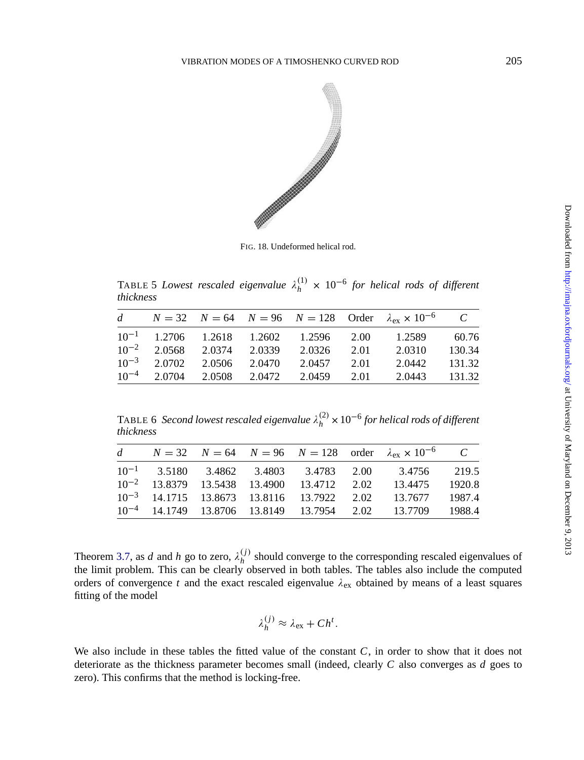<span id="page-25-0"></span>

FIG. 18. Undeformed helical rod.

TABLE 5 *Lowest rescaled eigenvalue*  $\lambda_h^{(1)} \times 10^{-6}$  for helical rods of different *thickness*

|                                       |  |                                            |      | d $N = 32$ $N = 64$ $N = 96$ $N = 128$ Order $\lambda_{ex} \times 10^{-6}$ |         |
|---------------------------------------|--|--------------------------------------------|------|----------------------------------------------------------------------------|---------|
|                                       |  | $10^{-1}$ 1.2706 1.2618 1.2602 1.2596 2.00 |      | 1.2589                                                                     | - 60.76 |
| $10^{-2}$ 2.0568 2.0374 2.0339 2.0326 |  |                                            | 2.01 | 2.0310                                                                     | 130.34  |
|                                       |  | $10^{-3}$ 2.0702 2.0506 2.0470 2.0457 2.01 |      | 2.0442 131.32                                                              |         |
|                                       |  | $10^{-4}$ 2.0704 2.0508 2.0472 2.0459 2.01 |      | 2.0443 131.32                                                              |         |

TABLE 6 *Second lowest rescaled eigenvalue*  $\lambda_h^{(2)} \times 10^{-6}$  *for helical rods of different thickness*

|  |  |  | d $N = 32$ $N = 64$ $N = 96$ $N = 128$ order $\lambda_{ex} \times 10^{-6}$ C |  |
|--|--|--|------------------------------------------------------------------------------|--|
|  |  |  | $10^{-1}$ 3.5180 3.4862 3.4803 3.4783 2.00 3.4756 219.5                      |  |
|  |  |  | $10^{-2}$ 13.8379 13.5438 13.4900 13.4712 2.02 13.4475 1920.8                |  |
|  |  |  | $10^{-3}$ 14.1715 13.8673 13.8116 13.7922 2.02 13.7677 1987.4                |  |
|  |  |  | $10^{-4}$ 14.1749 13.8706 13.8149 13.7954 2.02 13.7709 1988.4                |  |

Theorem 3.7, as *d* and *h* go to zero,  $\lambda_h^{(j)}$  should converge to the corresponding rescaled eigenvalues of the limit problem. This can be clearly observed in both tables. The tables also include the computed orders of convergence  $t$  and the exact rescaled eigenvalue  $\lambda_{ex}$  obtained by means of a least squares fitting of the model

$$
\lambda_h^{(j)} \approx \lambda_{\rm ex} + C h^t.
$$

We also include in these tables the fitted value of the constant *C*, in order to show that it does not deteriorate as the thickness parameter becomes small (indeed, clearly *C* also converges as *d* goes to zero). This confirms that the method is locking-free.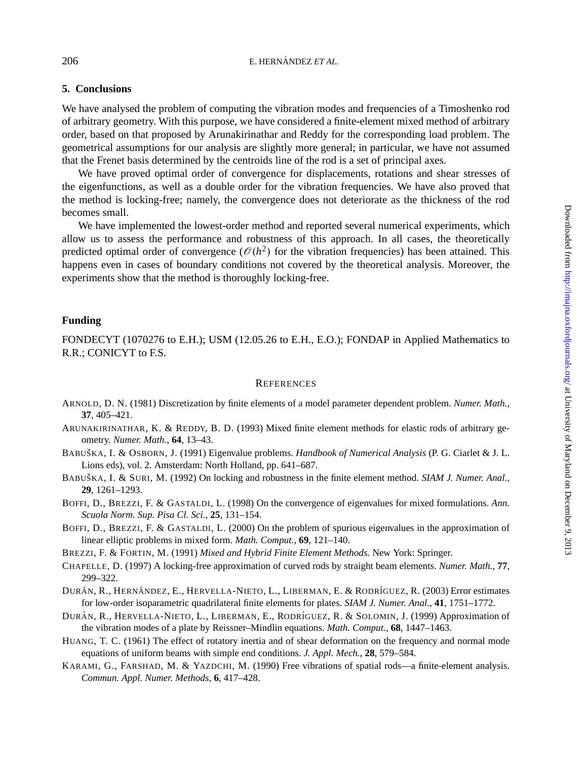### **5. Conclusions**

We have analysed the problem of computing the vibration modes and frequencies of a Timoshenko rod of arbitrary geometry. With this purpose, we have considered a finite-element mixed method of arbitrary order, based on that proposed by Arunakirinathar and Reddy for the corresponding load problem. The geometrical assumptions for our analysis are slightly more general; in particular, we have not assumed that the Frenet basis determined by the centroids line of the rod is a set of principal axes.

We have proved optimal order of convergence for displacements, rotations and shear stresses of the eigenfunctions, as well as a double order for the vibration frequencies. We have also proved that the method is locking-free; namely, the convergence does not deteriorate as the thickness of the rod becomes small.

We have implemented the lowest-order method and reported several numerical experiments, which allow us to assess the performance and robustness of this approach. In all cases, the theoretically predicted optimal order of convergence  $(\mathcal{O}(h^2))$  for the vibration frequencies) has been attained. This happens even in cases of boundary conditions not covered by the theoretical analysis. Moreover, the experiments show that the method is thoroughly locking-free.

### **Funding**

FONDECYT (1070276 to E.H.); USM (12.05.26 to E.H., E.O.); FONDAP in Applied Mathematics to R.R.; CONICYT to F.S.

### **REFERENCES**

- ARNOLD, D. N. (1981) Discretization by finite elements of a model parameter dependent problem. *Numer. Math.*, **37**, 405–421.
- ARUNAKIRINATHAR, K. & REDDY, B. D. (1993) Mixed finite element methods for elastic rods of arbitrary geometry. *Numer. Math.*, **64**, 13–43.
- BABUSˇKA, I. & OSBORN, J. (1991) Eigenvalue problems. *Handbook of Numerical Analysis* (P. G. Ciarlet & J. L. Lions eds), vol. 2. Amsterdam: North Holland, pp. 641–687.
- BABUŠKA, I. & SURI, M. (1992) On locking and robustness in the finite element method. *SIAM J. Numer. Anal.*, **29**, 1261–1293.
- BOFFI, D., BREZZI, F. & GASTALDI, L. (1998) On the convergence of eigenvalues for mixed formulations. *Ann. Scuola Norm. Sup. Pisa Cl. Sci.,* **25**, 131–154.
- BOFFI, D., BREZZI, F. & GASTALDI, L. (2000) On the problem of spurious eigenvalues in the approximation of linear elliptic problems in mixed form. *Math. Comput.*, **69**, 121–140.

BREZZI, F. & FORTIN, M. (1991) *Mixed and Hybrid Finite Element Methods.* New York: Springer.

CHAPELLE, D. (1997) A locking-free approximation of curved rods by straight beam elements. *Numer. Math.*, **77**, 299–322.

DURÁN, R., HERNÁNDEZ, E., HERVELLA-NIETO, L., LIBERMAN, E. & RODRÍGUEZ, R. (2003) Error estimates for low-order isoparametric quadrilateral finite elements for plates. *SIAM J. Numer. Anal.*, **41**, 1751–1772.

- DURÁN, R., HERVELLA-NIETO, L., LIBERMAN, E., RODRÍGUEZ, R. & SOLOMIN, J. (1999) Approximation of the vibration modes of a plate by Reissner–Mindlin equations. *Math. Comput.*, **68**, 1447–1463.
- HUANG, T. C. (1961) The effect of rotatory inertia and of shear deformation on the frequency and normal mode equations of uniform beams with simple end conditions. *J. Appl. Mech.*, **28**, 579–584.
- KARAMI, G., FARSHAD, M. & YAZDCHI, M. (1990) Free vibrations of spatial rods—a finite-element analysis. *Commun. Appl. Numer. Methods*, **6**, 417–428.

<span id="page-26-0"></span>